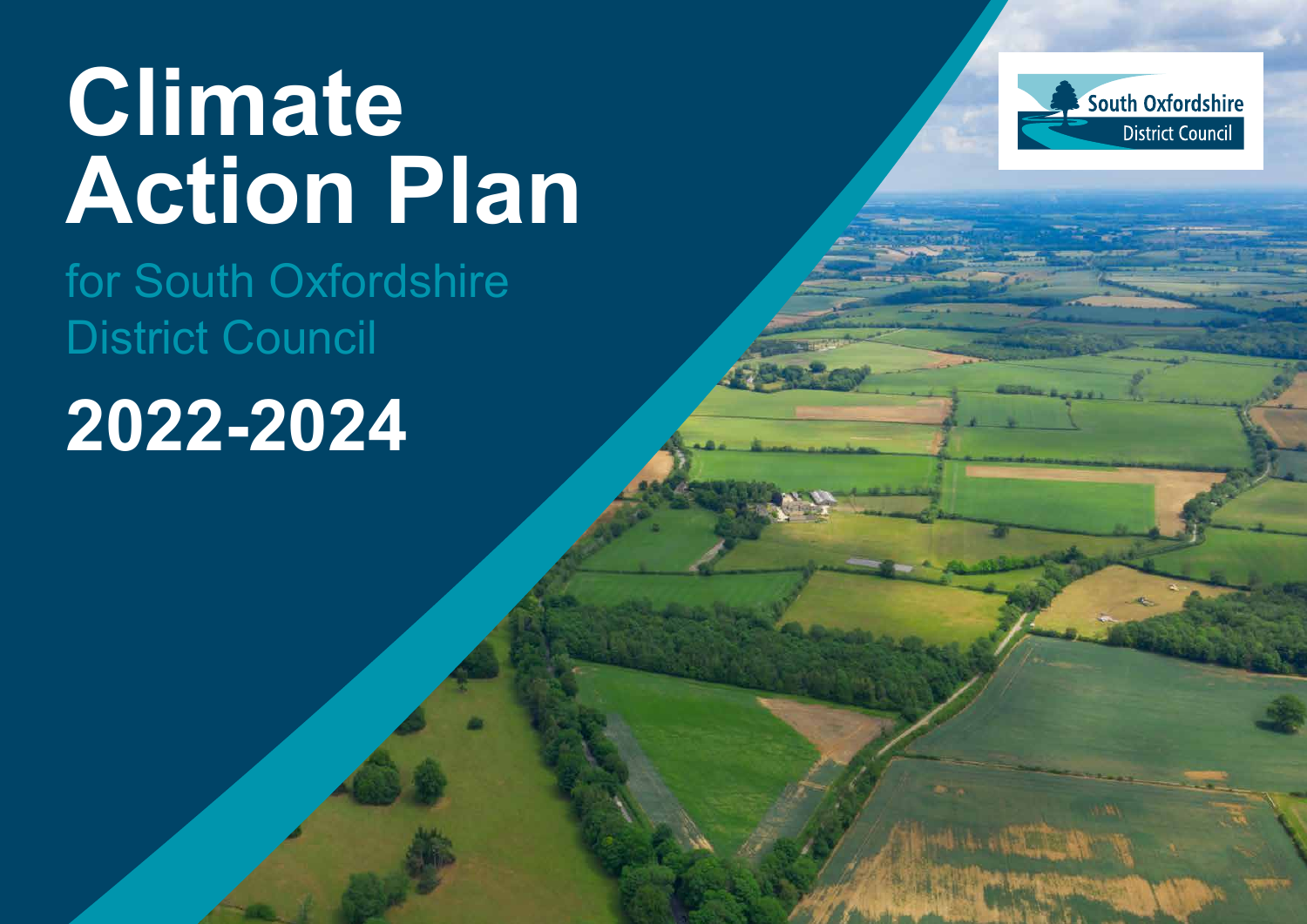# **Climate Action Plan**

for South Oxfordshire District Council

# **2022-2024**

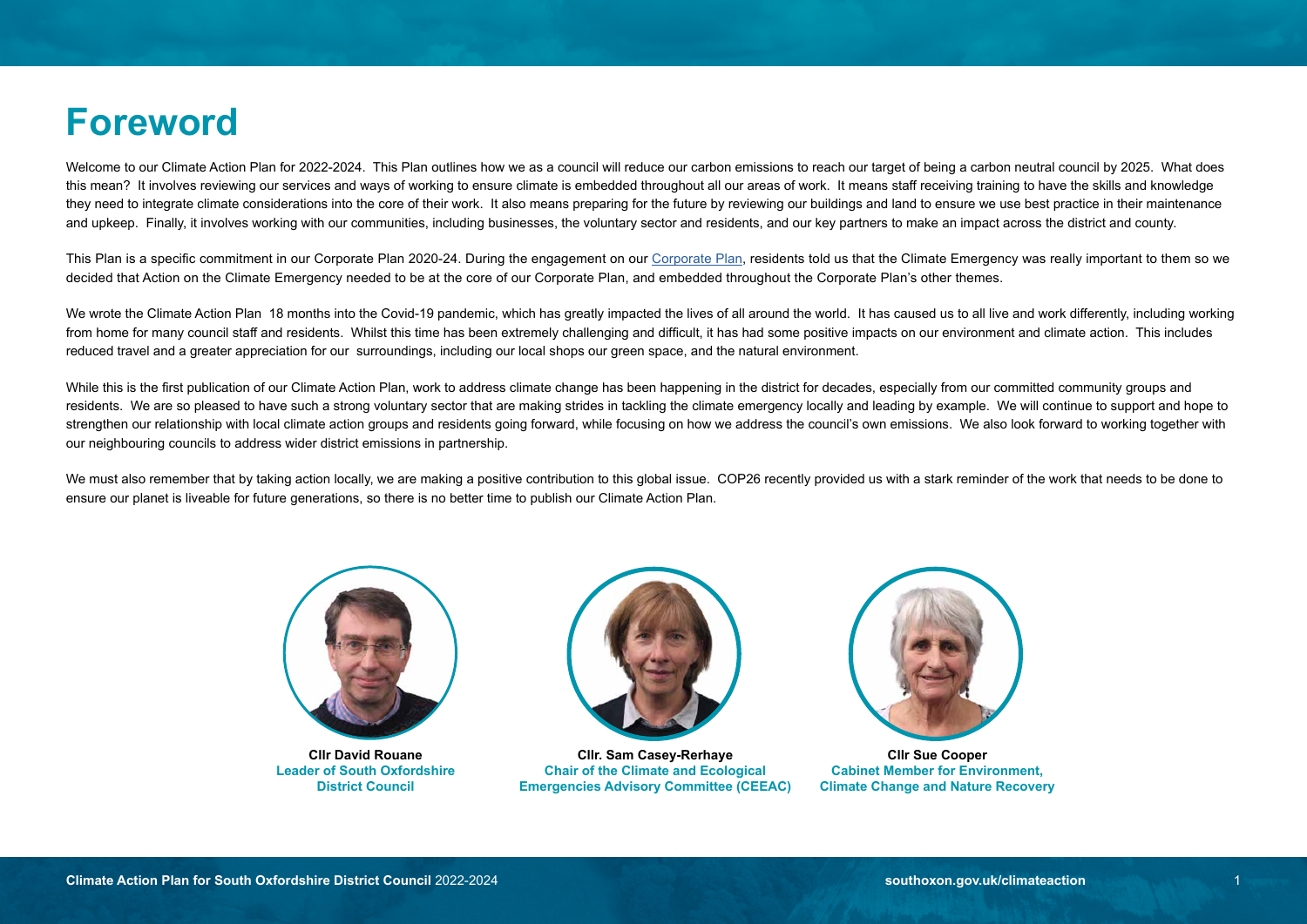### **Foreword**

Welcome to our Climate Action Plan for 2022-2024. This Plan outlines how we as a council will reduce our carbon emissions to reach our target of being a carbon neutral council by 2025. What does this mean? It involves reviewing our services and ways of working to ensure climate is embedded throughout all our areas of work. It means staff receiving training to have the skills and knowledge they need to integrate climate considerations into the core of their work. It also means preparing for the future by reviewing our buildings and land to ensure we use best practice in their maintenance and upkeep. Finally, it involves working with our communities, including businesses, the voluntary sector and residents, and our key partners to make an impact across the district and county.

This Plan is a specific commitment in our [Corporate Plan](https://www.southoxon.gov.uk/south-oxfordshire-district-council/about-the-council/corporate-plan/) 2020-24. During the engagement on our Corporate Plan, residents told us that the Climate Emergency was really important to them so we decided that Action on the Climate Emergency needed to be at the core of our Corporate Plan, and embedded throughout the Corporate Plan's other themes.

We wrote the Climate Action Plan 18 months into the Covid-19 pandemic, which has greatly impacted the lives of all around the world. It has caused us to all live and work differently, including working from home for many council staff and residents. Whilst this time has been extremely challenging and difficult, it has had some positive impacts on our environment and climate action. This includes reduced travel and a greater appreciation for our surroundings, including our local shops our green space, and the natural environment.

While this is the first publication of our Climate Action Plan, work to address climate change has been happening in the district for decades, especially from our committed community groups and residents. We are so pleased to have such a strong voluntary sector that are making strides in tackling the climate emergency locally and leading by example. We will continue to support and hope to strengthen our relationship with local climate action groups and residents going forward, while focusing on how we address the council's own emissions. We also look forward to working together with our neighbouring councils to address wider district emissions in partnership.

We must also remember that by taking action locally, we are making a positive contribution to this global issue. COP26 recently provided us with a stark reminder of the work that needs to be done to ensure our planet is liveable for future generations, so there is no better time to publish our Climate Action Plan.



**Cllr David Rouane Leader of South Oxfordshire District Council**



**Cllr. Sam Casey-Rerhaye Chair of the Climate and Ecological Emergencies Advisory Committee (CEEAC)**



**Cllr Sue Cooper Cabinet Member for Environment, Climate Change and Nature Recovery**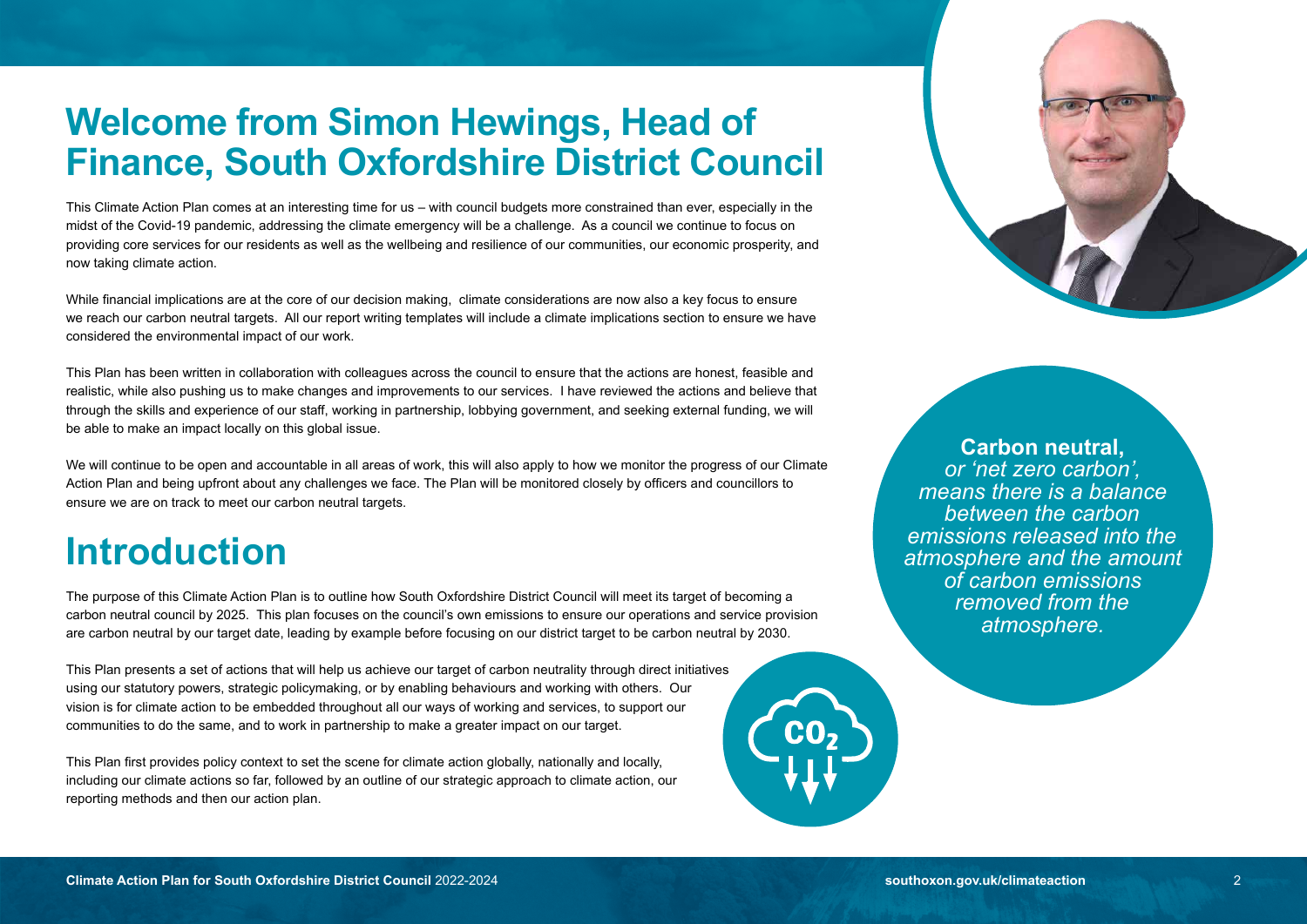### **Welcome from Simon Hewings, Head of Finance, South Oxfordshire District Council**

This Climate Action Plan comes at an interesting time for us – with council budgets more constrained than ever, especially in the midst of the Covid-19 pandemic, addressing the climate emergency will be a challenge. As a council we continue to focus on providing core services for our residents as well as the wellbeing and resilience of our communities, our economic prosperity, and now taking climate action.

While financial implications are at the core of our decision making, climate considerations are now also a key focus to ensure we reach our carbon neutral targets. All our report writing templates will include a climate implications section to ensure we have considered the environmental impact of our work.

This Plan has been written in collaboration with colleagues across the council to ensure that the actions are honest, feasible and realistic, while also pushing us to make changes and improvements to our services. I have reviewed the actions and believe that through the skills and experience of our staff, working in partnership, lobbying government, and seeking external funding, we will be able to make an impact locally on this global issue.

We will continue to be open and accountable in all areas of work, this will also apply to how we monitor the progress of our Climate Action Plan and being upfront about any challenges we face. The Plan will be monitored closely by officers and councillors to ensure we are on track to meet our carbon neutral targets.

### **Introduction**

The purpose of this Climate Action Plan is to outline how South Oxfordshire District Council will meet its target of becoming a carbon neutral council by 2025. This plan focuses on the council's own emissions to ensure our operations and service provision are carbon neutral by our target date, leading by example before focusing on our district target to be carbon neutral by 2030.

This Plan presents a set of actions that will help us achieve our target of carbon neutrality through direct initiatives using our statutory powers, strategic policymaking, or by enabling behaviours and working with others. Our vision is for climate action to be embedded throughout all our ways of working and services, to support our communities to do the same, and to work in partnership to make a greater impact on our target.

This Plan first provides policy context to set the scene for climate action globally, nationally and locally, including our climate actions so far, followed by an outline of our strategic approach to climate action, our reporting methods and then our action plan.





**Carbon neutral,**  *or 'net zero carbon', means there is a balance between the carbon emissions released into the atmosphere and the amount of carbon emissions removed from the atmosphere.*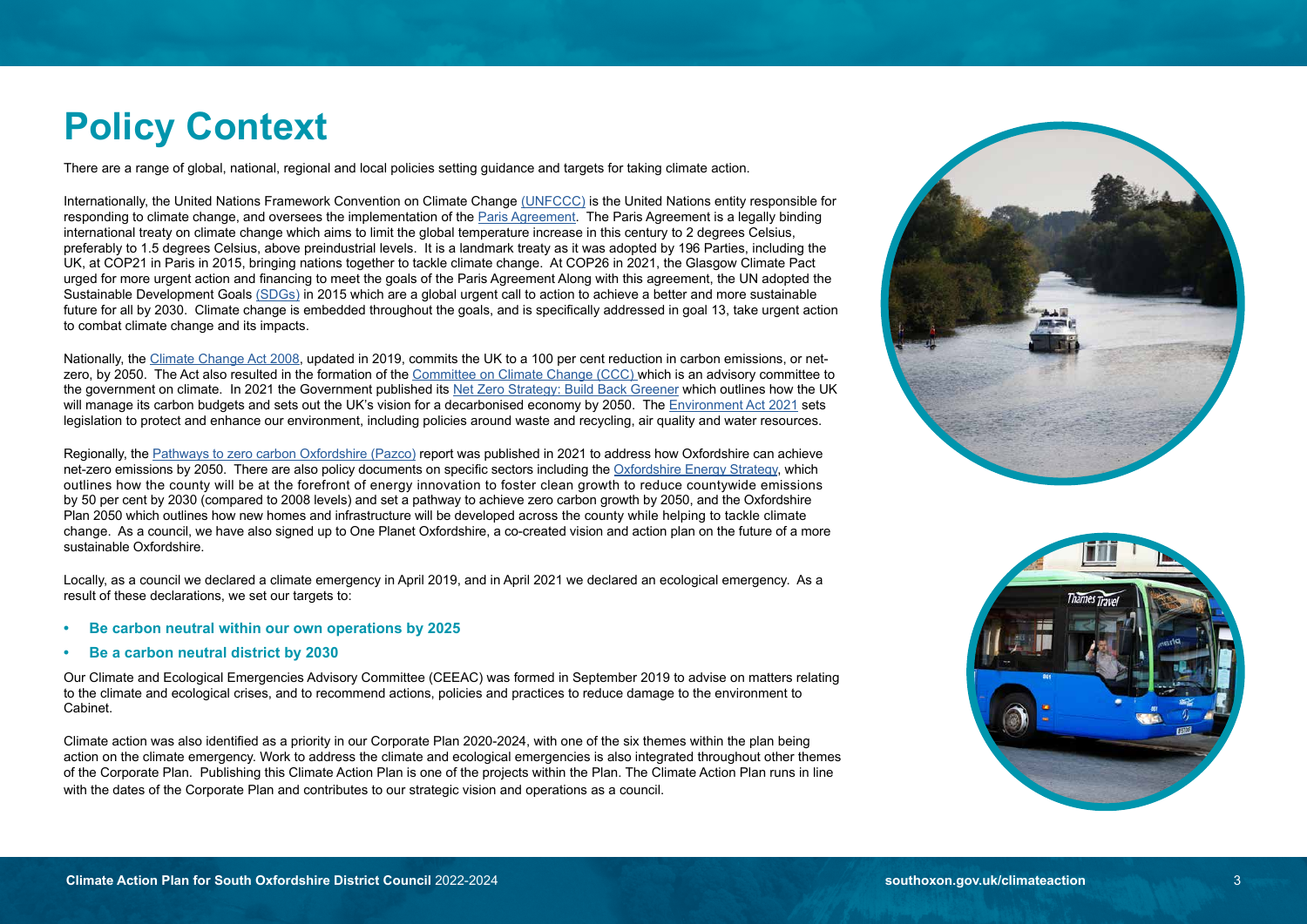### **Policy Context**

There are a range of global, national, regional and local policies setting guidance and targets for taking climate action.

Internationally, the United Nations Framework Convention on Climate Change [\(UNFCCC\)](https://unfccc.int) is the United Nations entity responsible for responding to climate change, and oversees the implementation of the [Paris Agreement.](https://unfccc.int/process-and-meetings/the-paris-agreement/the-paris-agreement) The Paris Agreement is a legally binding international treaty on climate change which aims to limit the global temperature increase in this century to 2 degrees Celsius, preferably to 1.5 degrees Celsius, above preindustrial levels. It is a landmark treaty as it was adopted by 196 Parties, including the UK, at COP21 in Paris in 2015, bringing nations together to tackle climate change. At COP26 in 2021, the Glasgow Climate Pact urged for more urgent action and financing to meet the goals of the Paris Agreement Along with this agreement, the UN adopted the Sustainable Development Goals [\(SDGs\)](https://sdgs.un.org/goals) in 2015 which are a global urgent call to action to achieve a better and more sustainable future for all by 2030. Climate change is embedded throughout the goals, and is specifically addressed in goal 13, take urgent action to combat climate change and its impacts.

Nationally, the [Climate Change Act 2008,](https://www.legislation.gov.uk/ukpga/2008/27/contents) updated in 2019, commits the UK to a 100 per cent reduction in carbon emissions, or netzero, by 2050. The Act also resulted in the formation of the [Committee on Climate Change \(CCC\) w](https://www.theccc.org.uk)hich is an advisory committee to the government on climate. In 2021 the Government published its [Net Zero Strategy: Build Back Greener](https://assets.publishing.service.gov.uk/government/uploads/system/uploads/attachment_data/file/1033990/net-zero-strategy-beis.pdf) which outlines how the UK will manage its carbon budgets and sets out the UK's vision for a decarbonised economy by 2050. The [Environment Act 2021](https://bills.parliament.uk/bills/2593) sets legislation to protect and enhance our environment, including policies around waste and recycling, air quality and water resources.

Regionally, the [Pathways to zero carbon Oxfordshire \(Pazco\)](https://www.eci.ox.ac.uk/research/energy/pathways-to-a-zero-carbon-oxfordshire-report.html) report was published in 2021 to address how Oxfordshire can achieve net-zero emissions by 2050. There are also policy documents on specific sectors including the [Oxfordshire Energy Strategy,](https://www.oxfordshirelep.com/energystrategy) which outlines how the county will be at the forefront of energy innovation to foster clean growth to reduce countywide emissions by 50 per cent by 2030 (compared to 2008 levels) and set a pathway to achieve zero carbon growth by 2050, and the Oxfordshire Plan 2050 which outlines how new homes and infrastructure will be developed across the county while helping to tackle climate change. As a council, we have also signed up to One Planet Oxfordshire, a co-created vision and action plan on the future of a more sustainable Oxfordshire.

Locally, as a council we declared a climate emergency in April 2019, and in April 2021 we declared an ecological emergency. As a result of these declarations, we set our targets to:

- **Be carbon neutral within our own operations by 2025**
- **Be a carbon neutral district by 2030**

Our Climate and Ecological Emergencies Advisory Committee (CEEAC) was formed in September 2019 to advise on matters relating to the climate and ecological crises, and to recommend actions, policies and practices to reduce damage to the environment to Cabinet.

Climate action was also identified as a priority in our Corporate Plan 2020-2024, with one of the six themes within the plan being action on the climate emergency. Work to address the climate and ecological emergencies is also integrated throughout other themes of the Corporate Plan. Publishing this Climate Action Plan is one of the projects within the Plan. The Climate Action Plan runs in line with the dates of the Corporate Plan and contributes to our strategic vision and operations as a council.



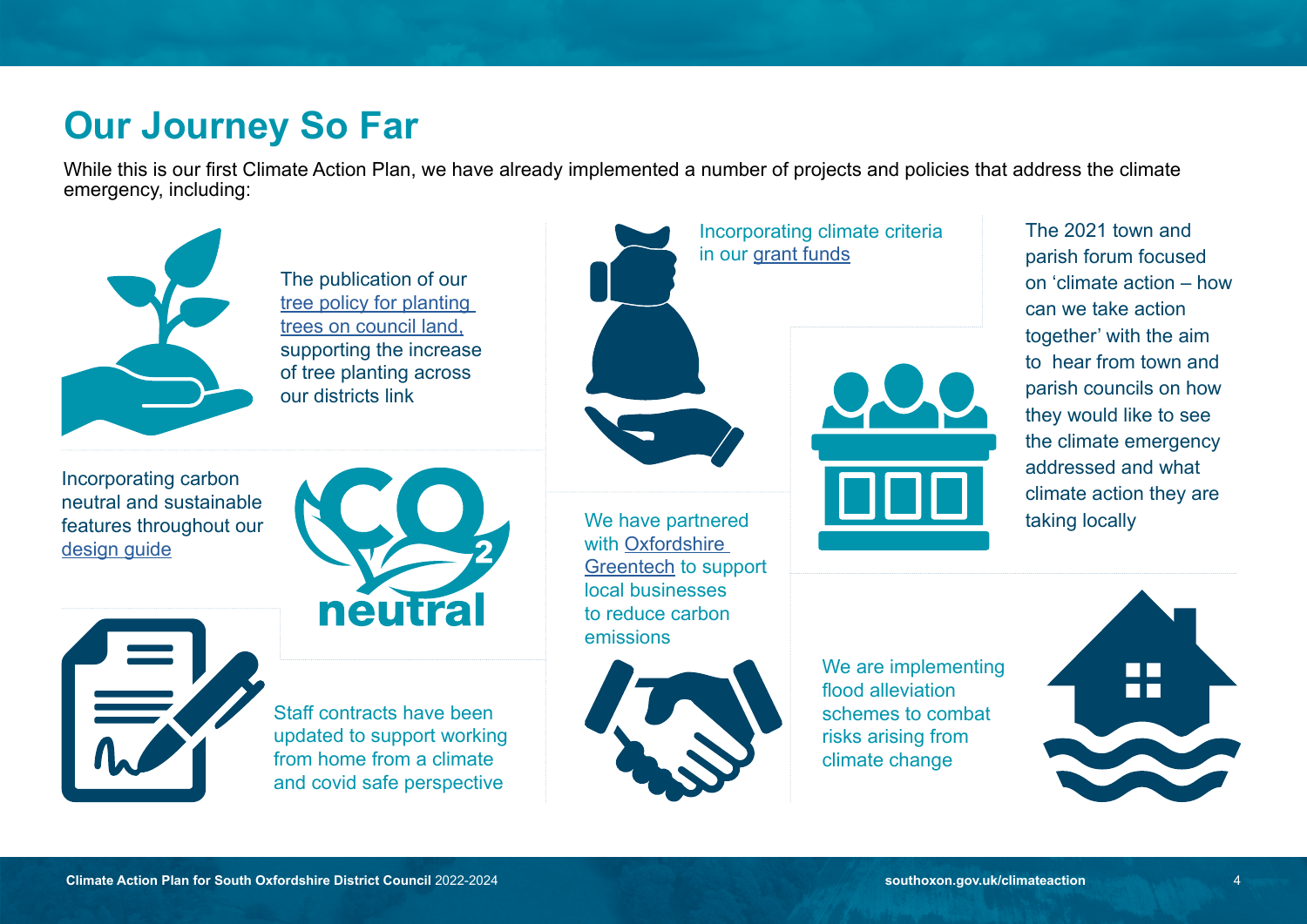### **Our Journey So Far**

While this is our first Climate Action Plan, we have already implemented a number of projects and policies that address the climate emergency, including:

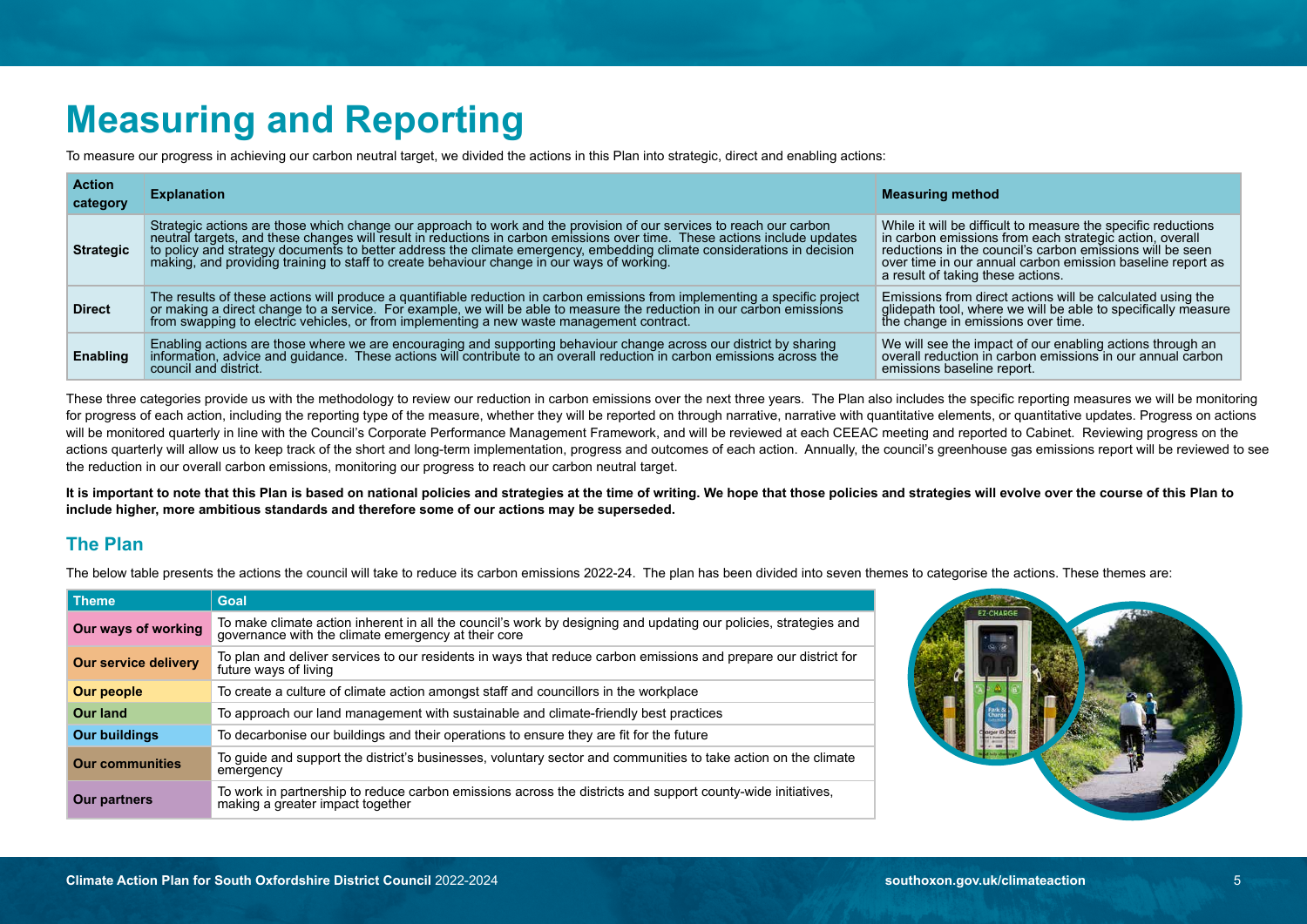## **Measuring and Reporting**

To measure our progress in achieving our carbon neutral target, we divided the actions in this Plan into strategic, direct and enabling actions:

| <b>Action</b><br>category | <b>Explanation</b>                                                                                                                                                                                                                                                                                                                                                                                                                                       | <b>Measuring method</b>                                                                                                                                                                                                                                                                  |
|---------------------------|----------------------------------------------------------------------------------------------------------------------------------------------------------------------------------------------------------------------------------------------------------------------------------------------------------------------------------------------------------------------------------------------------------------------------------------------------------|------------------------------------------------------------------------------------------------------------------------------------------------------------------------------------------------------------------------------------------------------------------------------------------|
| <b>Strategic</b>          | Strategic actions are those which change our approach to work and the provision of our services to reach our carbon<br>neutral targets, and these changes will result in reductions in carbon emissions over time. These actions<br>to policy and strategy documents to better address the climate emergency, embedding climate considerations in decision<br>making, and providing training to staff to create behaviour change in our ways of working. | While it will be difficult to measure the specific reductions<br>in carbon emissions from each strategic action, overall<br>reductions in the council's carbon emissions will be seen<br>over time in our annual carbon emission baseline report as<br>a result of taking these actions. |
| <b>Direct</b>             | The results of these actions will produce a quantifiable reduction in carbon emissions from implementing a specific project or making a direct change to a service. For example, we will be able to measure the reduction in o                                                                                                                                                                                                                           | Emissions from direct actions will be calculated using the<br>glidepath tool, where we will be able to specifically measure<br>the change in emissions over time.                                                                                                                        |
| <b>Enabling</b>           | Enabling actions are those where we are encouraging and supporting behaviour change across our district by sharing<br>information, advice and guidance. These actions will contribute to an overall reduction in carbon emissions across the<br>council and district.                                                                                                                                                                                    | We will see the impact of our enabling actions through an<br>overall reduction in carbon emissions in our annual carbon<br>emissions baseline report.                                                                                                                                    |

These three categories provide us with the methodology to review our reduction in carbon emissions over the next three years. The Plan also includes the specific reporting measures we will be monitoring for progress of each action, including the reporting type of the measure, whether they will be reported on through narrative, narrative with quantitative elements, or quantitative updates. Progress on actions will be monitored quarterly in line with the Council's Corporate Performance Management Framework, and will be reviewed at each CEEAC meeting and reported to Cabinet. Reviewing progress on the actions quarterly will allow us to keep track of the short and long-term implementation, progress and outcomes of each action. Annually, the council's greenhouse gas emissions report will be reviewed to see the reduction in our overall carbon emissions, monitoring our progress to reach our carbon neutral target.

**It is important to note that this Plan is based on national policies and strategies at the time of writing. We hope that those policies and strategies will evolve over the course of this Plan to include higher, more ambitious standards and therefore some of our actions may be superseded.** 

### **The Plan**

The below table presents the actions the council will take to reduce its carbon emissions 2022-24. The plan has been divided into seven themes to categorise the actions. These themes are:

| Theme.                      | Goal                                                                                                                                                                    |
|-----------------------------|-------------------------------------------------------------------------------------------------------------------------------------------------------------------------|
| Our ways of working         | To make climate action inherent in all the council's work by designing and updating our policies, strategies and<br>governance with the climate emergency at their core |
| <b>Our service delivery</b> | To plan and deliver services to our residents in ways that reduce carbon emissions and prepare our district for<br>future ways of living                                |
| Our people                  | To create a culture of climate action amongst staff and councillors in the workplace                                                                                    |
| <b>Our land</b>             | To approach our land management with sustainable and climate-friendly best practices                                                                                    |
| <b>Our buildings</b>        | To decarbonise our buildings and their operations to ensure they are fit for the future                                                                                 |
| <b>Our communities</b>      | To guide and support the district's businesses, voluntary sector and communities to take action on the climate<br>emergency                                             |
| <b>Our partners</b>         | To work in partnership to reduce carbon emissions across the districts and support county-wide initiatives,<br>making a greater impact together                         |

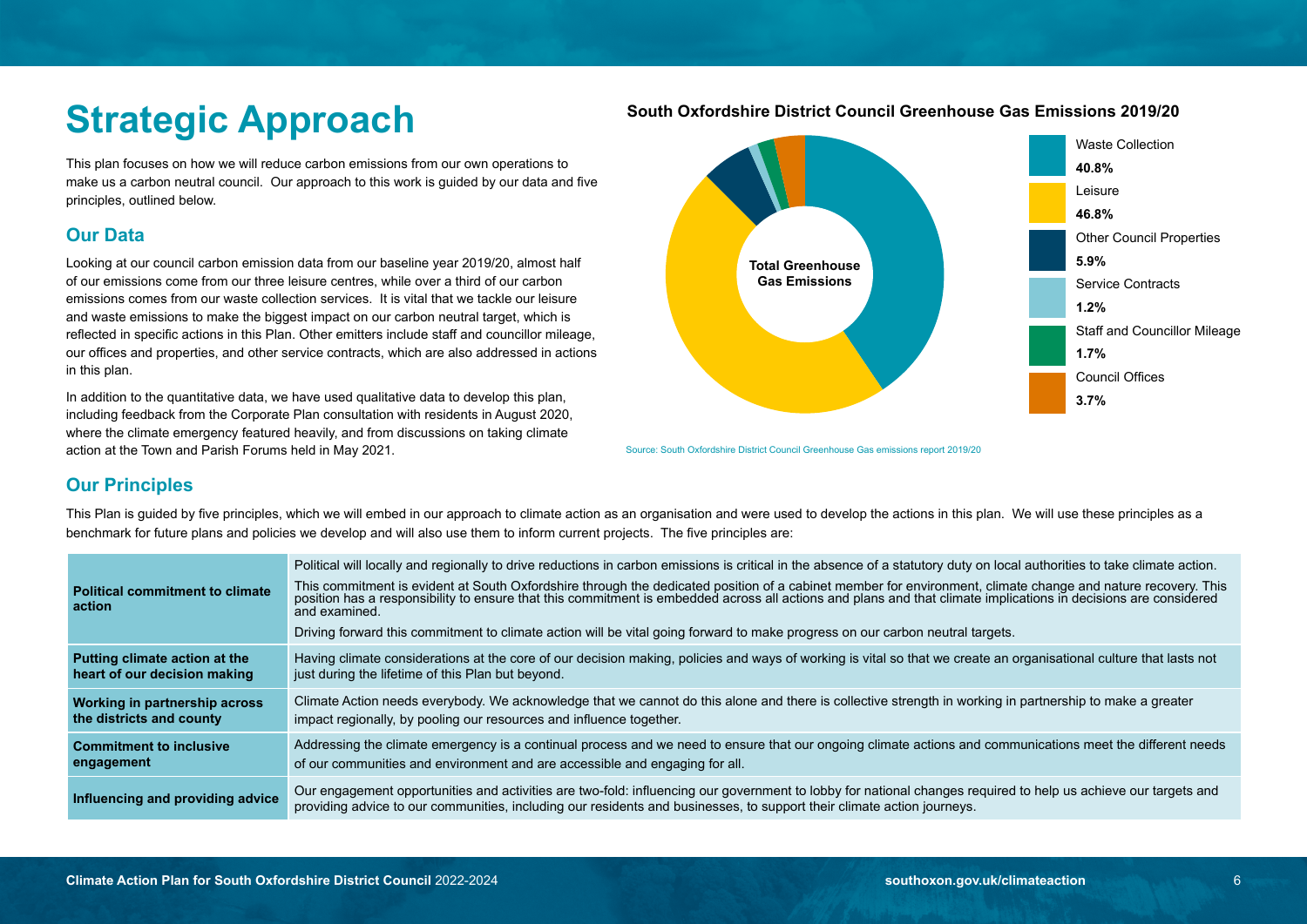# **Strategic Approach**

This plan focuses on how we will reduce carbon emissions from our own operations to make us a carbon neutral council. Our approach to this work is guided by our data and five principles, outlined below.

### **Our Data**

Looking at our council carbon emission data from our baseline year 2019/20, almost half of our emissions come from our three leisure centres, while over a third of our carbon emissions comes from our waste collection services. It is vital that we tackle our leisure and waste emissions to make the biggest impact on our carbon neutral target, which is reflected in specific actions in this Plan. Other emitters include staff and councillor mileage, our offices and properties, and other service contracts, which are also addressed in actions in this plan.

In addition to the quantitative data, we have used qualitative data to develop this plan, including feedback from the Corporate Plan consultation with residents in August 2020, where the climate emergency featured heavily, and from discussions on taking climate action at the Town and Parish Forums held in May 2021.



Source: South Oxfordshire District Council Greenhouse Gas emissions report 2019/20

### **Our Principles**

This Plan is guided by five principles, which we will embed in our approach to climate action as an organisation and were used to develop the actions in this plan. We will use these principles as a benchmark for future plans and policies we develop and will also use them to inform current projects. The five principles are:

| <b>Political commitment to climate</b><br>action | Political will locally and regionally to drive reductions in carbon emissions is critical in the absence of a statutory duty on local authorities to take climate action.<br>This commitment is evident at South Oxfordshire through the dedicated position of a cabinet member for environment, climate change and nature recovery. This position has a responsibility to ensure that this commitment is e<br>and examined. |
|--------------------------------------------------|------------------------------------------------------------------------------------------------------------------------------------------------------------------------------------------------------------------------------------------------------------------------------------------------------------------------------------------------------------------------------------------------------------------------------|
|                                                  | Driving forward this commitment to climate action will be vital going forward to make progress on our carbon neutral targets.                                                                                                                                                                                                                                                                                                |
| Putting climate action at the                    | Having climate considerations at the core of our decision making, policies and ways of working is vital so that we create an organisational culture that lasts not                                                                                                                                                                                                                                                           |
| heart of our decision making                     | just during the lifetime of this Plan but beyond.                                                                                                                                                                                                                                                                                                                                                                            |
| Working in partnership across                    | Climate Action needs everybody. We acknowledge that we cannot do this alone and there is collective strength in working in partnership to make a greater                                                                                                                                                                                                                                                                     |
| the districts and county                         | impact regionally, by pooling our resources and influence together.                                                                                                                                                                                                                                                                                                                                                          |
| <b>Commitment to inclusive</b>                   | Addressing the climate emergency is a continual process and we need to ensure that our ongoing climate actions and communications meet the different needs                                                                                                                                                                                                                                                                   |
| engagement                                       | of our communities and environment and are accessible and engaging for all.                                                                                                                                                                                                                                                                                                                                                  |
| Influencing and providing advice                 | Our engagement opportunities and activities are two-fold: influencing our government to lobby for national changes required to help us achieve our targets and<br>providing advice to our communities, including our residents and businesses, to support their climate action journeys.                                                                                                                                     |

### **South Oxfordshire District Council Greenhouse Gas Emissions 2019/20**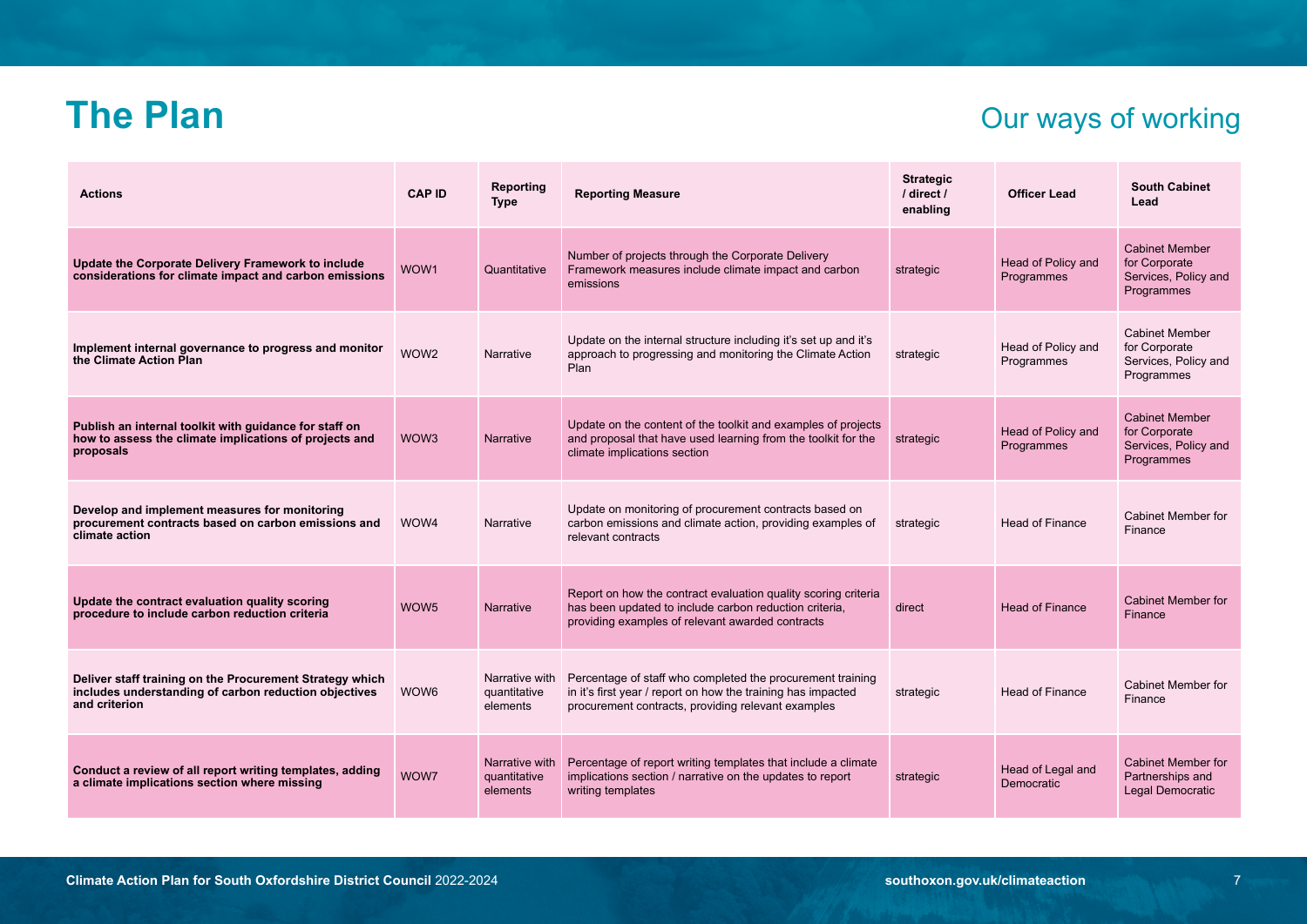### **The Plan** Our ways of working

| <b>Actions</b>                                                                                                                     | <b>CAP ID</b>    | Reporting<br><b>Type</b>                   | <b>Reporting Measure</b>                                                                                                                                                         | <b>Strategic</b><br>/ direct /<br>enabling | <b>Officer Lead</b>              | <b>South Cabinet</b><br>Lead                                                 |
|------------------------------------------------------------------------------------------------------------------------------------|------------------|--------------------------------------------|----------------------------------------------------------------------------------------------------------------------------------------------------------------------------------|--------------------------------------------|----------------------------------|------------------------------------------------------------------------------|
| Update the Corporate Delivery Framework to include<br>considerations for climate impact and carbon emissions                       | WOW1             | Quantitative                               | Number of projects through the Corporate Delivery<br>Framework measures include climate impact and carbon<br>emissions                                                           | strategic                                  | Head of Policy and<br>Programmes | <b>Cabinet Member</b><br>for Corporate<br>Services, Policy and<br>Programmes |
| Implement internal governance to progress and monitor<br>the Climate Action Plan                                                   | WOW2             | Narrative                                  | Update on the internal structure including it's set up and it's<br>approach to progressing and monitoring the Climate Action<br>Plan                                             | strategic                                  | Head of Policy and<br>Programmes | <b>Cabinet Member</b><br>for Corporate<br>Services, Policy and<br>Programmes |
| Publish an internal toolkit with guidance for staff on<br>how to assess the climate implications of projects and<br>proposals      | WOW3             | Narrative                                  | Update on the content of the toolkit and examples of projects<br>and proposal that have used learning from the toolkit for the<br>climate implications section                   | strategic                                  | Head of Policy and<br>Programmes | <b>Cabinet Member</b><br>for Corporate<br>Services, Policy and<br>Programmes |
| Develop and implement measures for monitoring<br>procurement contracts based on carbon emissions and<br>climate action             | WOW4             | Narrative                                  | Update on monitoring of procurement contracts based on<br>carbon emissions and climate action, providing examples of<br>relevant contracts                                       | strategic                                  | <b>Head of Finance</b>           | <b>Cabinet Member for</b><br>Finance                                         |
| Update the contract evaluation quality scoring<br>procedure to include carbon reduction criteria                                   | WOW <sub>5</sub> | Narrative                                  | Report on how the contract evaluation quality scoring criteria<br>has been updated to include carbon reduction criteria.<br>providing examples of relevant awarded contracts     | direct                                     | <b>Head of Finance</b>           | <b>Cabinet Member for</b><br>Finance                                         |
| Deliver staff training on the Procurement Strategy which<br>includes understanding of carbon reduction objectives<br>and criterion | WOW6             | Narrative with<br>quantitative<br>elements | Percentage of staff who completed the procurement training<br>in it's first year / report on how the training has impacted<br>procurement contracts, providing relevant examples | strategic                                  | Head of Finance                  | <b>Cabinet Member for</b><br>Finance                                         |
| Conduct a review of all report writing templates, adding<br>a climate implications section where missing                           | WOW7             | Narrative with<br>quantitative<br>elements | Percentage of report writing templates that include a climate<br>implications section / narrative on the updates to report<br>writing templates                                  | strategic                                  | Head of Legal and<br>Democratic  | Cabinet Member for<br>Partnerships and<br>Legal Democratic                   |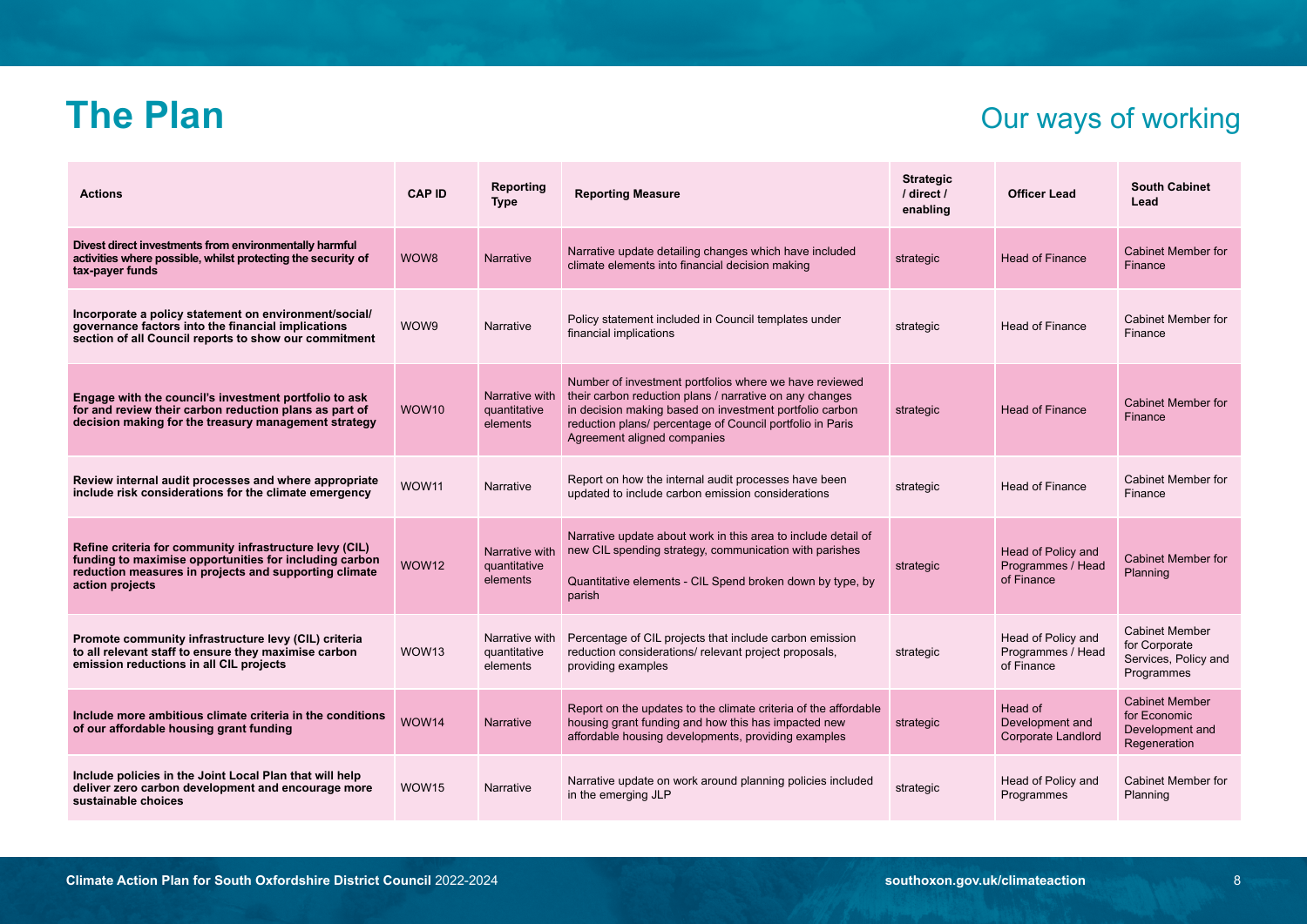### **The Plan** Our ways of working

| <b>Actions</b>                                                                                                                                                                                | <b>CAP ID</b> | Reporting<br><b>Type</b>                   | <b>Reporting Measure</b>                                                                                                                                                                                                                                                 | <b>Strategic</b><br>/ direct /<br>enabling | <b>Officer Lead</b>                                   | <b>South Cabinet</b><br>Lead                                                 |
|-----------------------------------------------------------------------------------------------------------------------------------------------------------------------------------------------|---------------|--------------------------------------------|--------------------------------------------------------------------------------------------------------------------------------------------------------------------------------------------------------------------------------------------------------------------------|--------------------------------------------|-------------------------------------------------------|------------------------------------------------------------------------------|
| Divest direct investments from environmentally harmful<br>activities where possible, whilst protecting the security of<br>tax-payer funds                                                     | WOW8          | <b>Narrative</b>                           | Narrative update detailing changes which have included<br>climate elements into financial decision making                                                                                                                                                                | strategic                                  | <b>Head of Finance</b>                                | <b>Cabinet Member for</b><br>Finance                                         |
| Incorporate a policy statement on environment/social/<br>governance factors into the financial implications<br>section of all Council reports to show our commitment                          | WOW9          | Narrative                                  | Policy statement included in Council templates under<br>financial implications                                                                                                                                                                                           | strategic                                  | <b>Head of Finance</b>                                | Cabinet Member for<br>Finance                                                |
| Engage with the council's investment portfolio to ask<br>for and review their carbon reduction plans as part of<br>decision making for the treasury management strategy                       | WOW10         | Narrative with<br>quantitative<br>elements | Number of investment portfolios where we have reviewed<br>their carbon reduction plans / narrative on any changes<br>in decision making based on investment portfolio carbon<br>reduction plans/ percentage of Council portfolio in Paris<br>Agreement aligned companies | strategic                                  | <b>Head of Finance</b>                                | <b>Cabinet Member for</b><br>Finance                                         |
| Review internal audit processes and where appropriate<br>include risk considerations for the climate emergency                                                                                | WOW11         | Narrative                                  | Report on how the internal audit processes have been<br>updated to include carbon emission considerations                                                                                                                                                                | strategic                                  | <b>Head of Finance</b>                                | Cabinet Member for<br>Finance                                                |
| Refine criteria for community infrastructure levy (CIL)<br>funding to maximise opportunities for including carbon<br>reduction measures in projects and supporting climate<br>action projects | WOW12         | Narrative with<br>quantitative<br>elements | Narrative update about work in this area to include detail of<br>new CIL spending strategy, communication with parishes<br>Quantitative elements - CIL Spend broken down by type, by<br>parish                                                                           | strategic                                  | Head of Policy and<br>Programmes / Head<br>of Finance | <b>Cabinet Member for</b><br>Planning                                        |
| Promote community infrastructure levy (CIL) criteria<br>to all relevant staff to ensure they maximise carbon<br>emission reductions in all CIL projects                                       | WOW13         | Narrative with<br>quantitative<br>elements | Percentage of CIL projects that include carbon emission<br>reduction considerations/ relevant project proposals,<br>providing examples                                                                                                                                   | strategic                                  | Head of Policy and<br>Programmes / Head<br>of Finance | <b>Cabinet Member</b><br>for Corporate<br>Services, Policy and<br>Programmes |
| Include more ambitious climate criteria in the conditions<br>of our affordable housing grant funding                                                                                          | WOW14         | <b>Narrative</b>                           | Report on the updates to the climate criteria of the affordable<br>housing grant funding and how this has impacted new<br>affordable housing developments, providing examples                                                                                            | strategic                                  | Head of<br>Development and<br>Corporate Landlord      | <b>Cabinet Member</b><br>for Economic<br>Development and<br>Regeneration     |
| Include policies in the Joint Local Plan that will help<br>deliver zero carbon development and encourage more<br>sustainable choices                                                          | WOW15         | Narrative                                  | Narrative update on work around planning policies included<br>in the emerging JLP                                                                                                                                                                                        | strategic                                  | Head of Policy and<br>Programmes                      | Cabinet Member for<br>Planning                                               |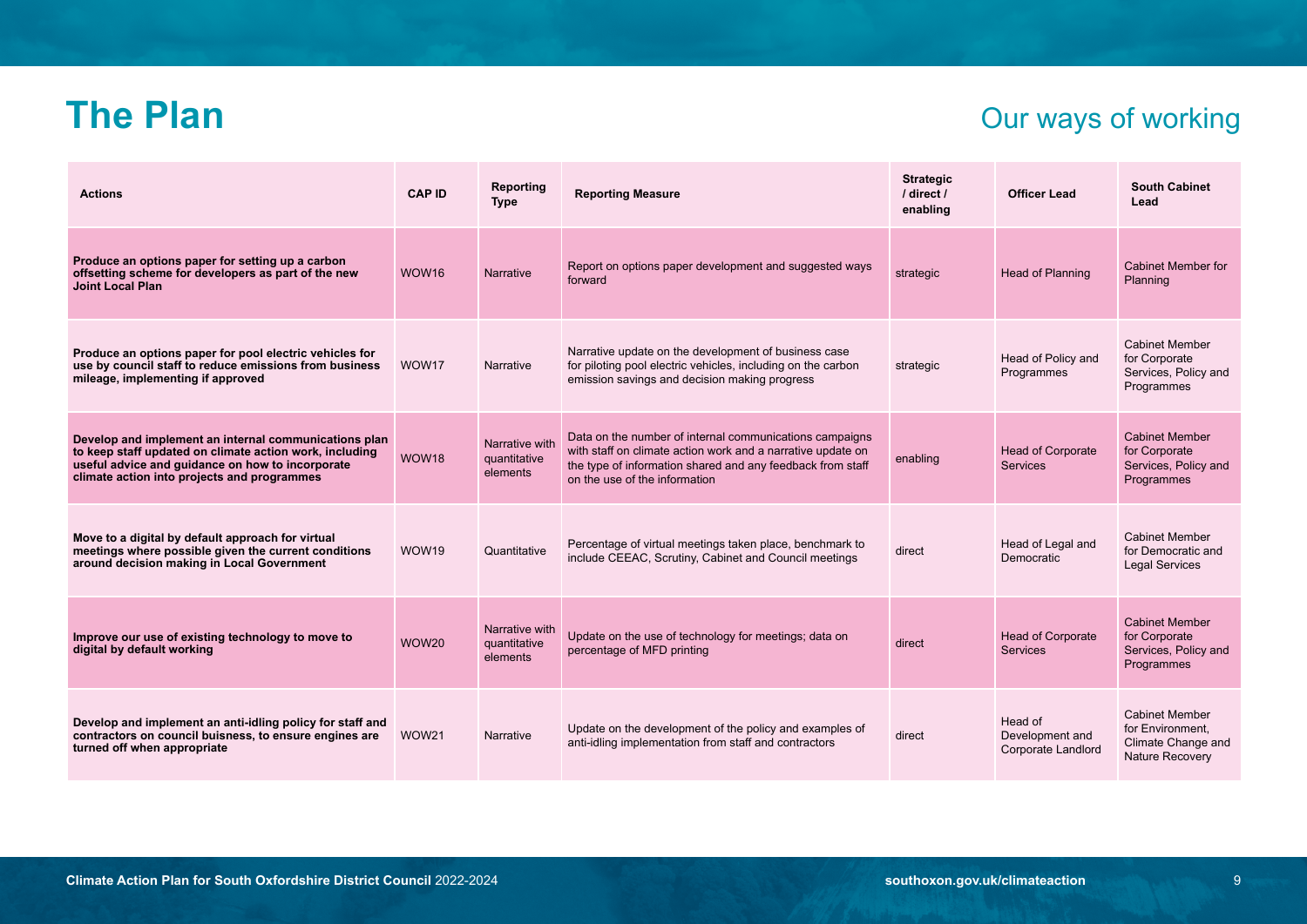### **The Plan** Our ways of working

| <b>Actions</b>                                                                                                                                                                                                      | <b>CAP ID</b> | Reporting<br><b>Type</b>                   | <b>Reporting Measure</b>                                                                                                                                                                                              | <b>Strategic</b><br>/ direct /<br>enabling | <b>Officer Lead</b>                              | <b>South Cabinet</b><br>Lead                                                       |
|---------------------------------------------------------------------------------------------------------------------------------------------------------------------------------------------------------------------|---------------|--------------------------------------------|-----------------------------------------------------------------------------------------------------------------------------------------------------------------------------------------------------------------------|--------------------------------------------|--------------------------------------------------|------------------------------------------------------------------------------------|
| Produce an options paper for setting up a carbon<br>offsetting scheme for developers as part of the new<br><b>Joint Local Plan</b>                                                                                  | WOW16         | Narrative                                  | Report on options paper development and suggested ways<br>forward                                                                                                                                                     | strategic                                  | Head of Planning                                 | Cabinet Member for<br>Planning                                                     |
| Produce an options paper for pool electric vehicles for<br>use by council staff to reduce emissions from business<br>mileage, implementing if approved                                                              | WOW17         | Narrative                                  | Narrative update on the development of business case<br>for piloting pool electric vehicles, including on the carbon<br>emission savings and decision making progress                                                 | strategic                                  | Head of Policy and<br>Programmes                 | <b>Cabinet Member</b><br>for Corporate<br>Services, Policy and<br>Programmes       |
| Develop and implement an internal communications plan<br>to keep staff updated on climate action work, including<br>useful advice and guidance on how to incorporate<br>climate action into projects and programmes | WOW18         | Narrative with<br>quantitative<br>elements | Data on the number of internal communications campaigns<br>with staff on climate action work and a narrative update on<br>the type of information shared and any feedback from staff<br>on the use of the information | enabling                                   | <b>Head of Corporate</b><br><b>Services</b>      | <b>Cabinet Member</b><br>for Corporate<br>Services, Policy and<br>Programmes       |
| Move to a digital by default approach for virtual<br>meetings where possible given the current conditions<br>around decision making in Local Government                                                             | WOW19         | Quantitative                               | Percentage of virtual meetings taken place, benchmark to<br>include CEEAC, Scrutiny, Cabinet and Council meetings                                                                                                     | direct                                     | Head of Legal and<br>Democratic                  | <b>Cabinet Member</b><br>for Democratic and<br><b>Legal Services</b>               |
| Improve our use of existing technology to move to<br>digital by default working                                                                                                                                     | <b>WOW20</b>  | Narrative with<br>quantitative<br>elements | Update on the use of technology for meetings; data on<br>percentage of MFD printing                                                                                                                                   | direct                                     | <b>Head of Corporate</b><br><b>Services</b>      | <b>Cabinet Member</b><br>for Corporate<br>Services, Policy and<br>Programmes       |
| Develop and implement an anti-idling policy for staff and<br>contractors on council buisness, to ensure engines are<br>turned off when appropriate                                                                  | WOW21         | Narrative                                  | Update on the development of the policy and examples of<br>anti-idling implementation from staff and contractors                                                                                                      | direct                                     | Head of<br>Development and<br>Corporate Landlord | <b>Cabinet Member</b><br>for Environment.<br>Climate Change and<br>Nature Recovery |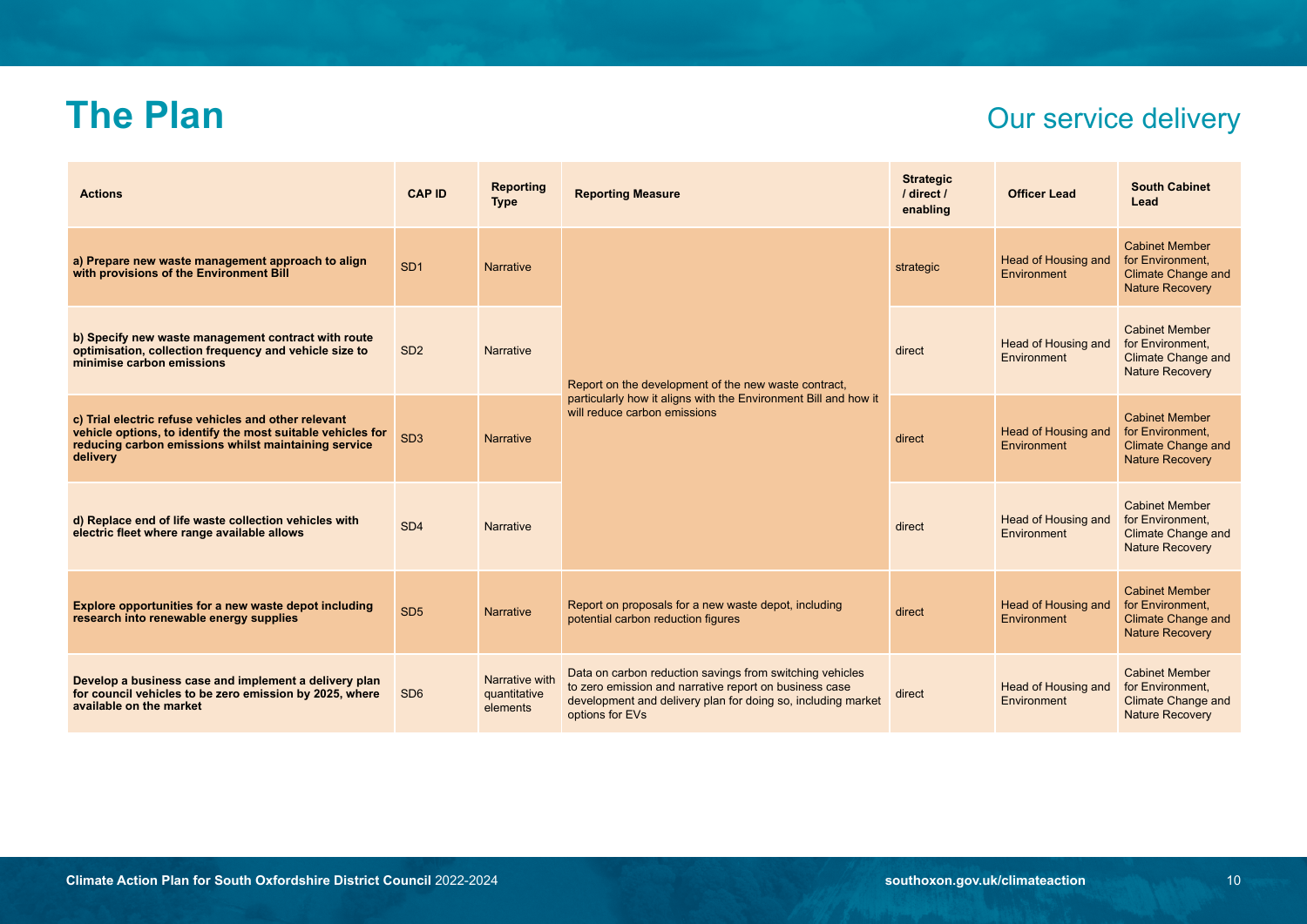### **The Plan** Our service delivery

| <b>Actions</b>                                                                                                                                                                          | <b>CAP ID</b>   | <b>Reporting</b><br><b>Type</b>            | <b>Reporting Measure</b>                                                                                                                                                                              | <b>Strategic</b><br>/ direct /<br>enabling | <b>Officer Lead</b>                | <b>South Cabinet</b><br>Lead                                                                     |
|-----------------------------------------------------------------------------------------------------------------------------------------------------------------------------------------|-----------------|--------------------------------------------|-------------------------------------------------------------------------------------------------------------------------------------------------------------------------------------------------------|--------------------------------------------|------------------------------------|--------------------------------------------------------------------------------------------------|
| a) Prepare new waste management approach to align<br>with provisions of the Environment Bill                                                                                            | SD <sub>1</sub> | <b>Narrative</b>                           |                                                                                                                                                                                                       | strategic                                  | Head of Housing and<br>Environment | <b>Cabinet Member</b><br>for Environment.<br><b>Climate Change and</b><br><b>Nature Recovery</b> |
| b) Specify new waste management contract with route<br>optimisation, collection frequency and vehicle size to<br>minimise carbon emissions                                              | SD <sub>2</sub> | <b>Narrative</b>                           | Report on the development of the new waste contract,<br>particularly how it aligns with the Environment Bill and how it<br>will reduce carbon emissions                                               | direct                                     | Head of Housing and<br>Environment | <b>Cabinet Member</b><br>for Environment.<br><b>Climate Change and</b><br><b>Nature Recovery</b> |
| c) Trial electric refuse vehicles and other relevant<br>vehicle options, to identify the most suitable vehicles for<br>reducing carbon emissions whilst maintaining service<br>delivery | SD <sub>3</sub> | <b>Narrative</b>                           |                                                                                                                                                                                                       | direct                                     | Head of Housing and<br>Environment | <b>Cabinet Member</b><br>for Environment.<br><b>Climate Change and</b><br><b>Nature Recovery</b> |
| d) Replace end of life waste collection vehicles with<br>electric fleet where range available allows                                                                                    | SD <sub>4</sub> | <b>Narrative</b>                           |                                                                                                                                                                                                       | direct                                     | Head of Housing and<br>Environment | <b>Cabinet Member</b><br>for Environment.<br><b>Climate Change and</b><br><b>Nature Recovery</b> |
| Explore opportunities for a new waste depot including<br>research into renewable energy supplies                                                                                        | SD <sub>5</sub> | <b>Narrative</b>                           | Report on proposals for a new waste depot, including<br>potential carbon reduction figures                                                                                                            | direct                                     | Head of Housing and<br>Environment | <b>Cabinet Member</b><br>for Environment.<br><b>Climate Change and</b><br><b>Nature Recovery</b> |
| Develop a business case and implement a delivery plan<br>for council vehicles to be zero emission by 2025, where<br>available on the market                                             | SD <sub>6</sub> | Narrative with<br>quantitative<br>elements | Data on carbon reduction savings from switching vehicles<br>to zero emission and narrative report on business case<br>development and delivery plan for doing so, including market<br>options for EVs | direct                                     | Head of Housing and<br>Environment | <b>Cabinet Member</b><br>for Environment.<br><b>Climate Change and</b><br><b>Nature Recovery</b> |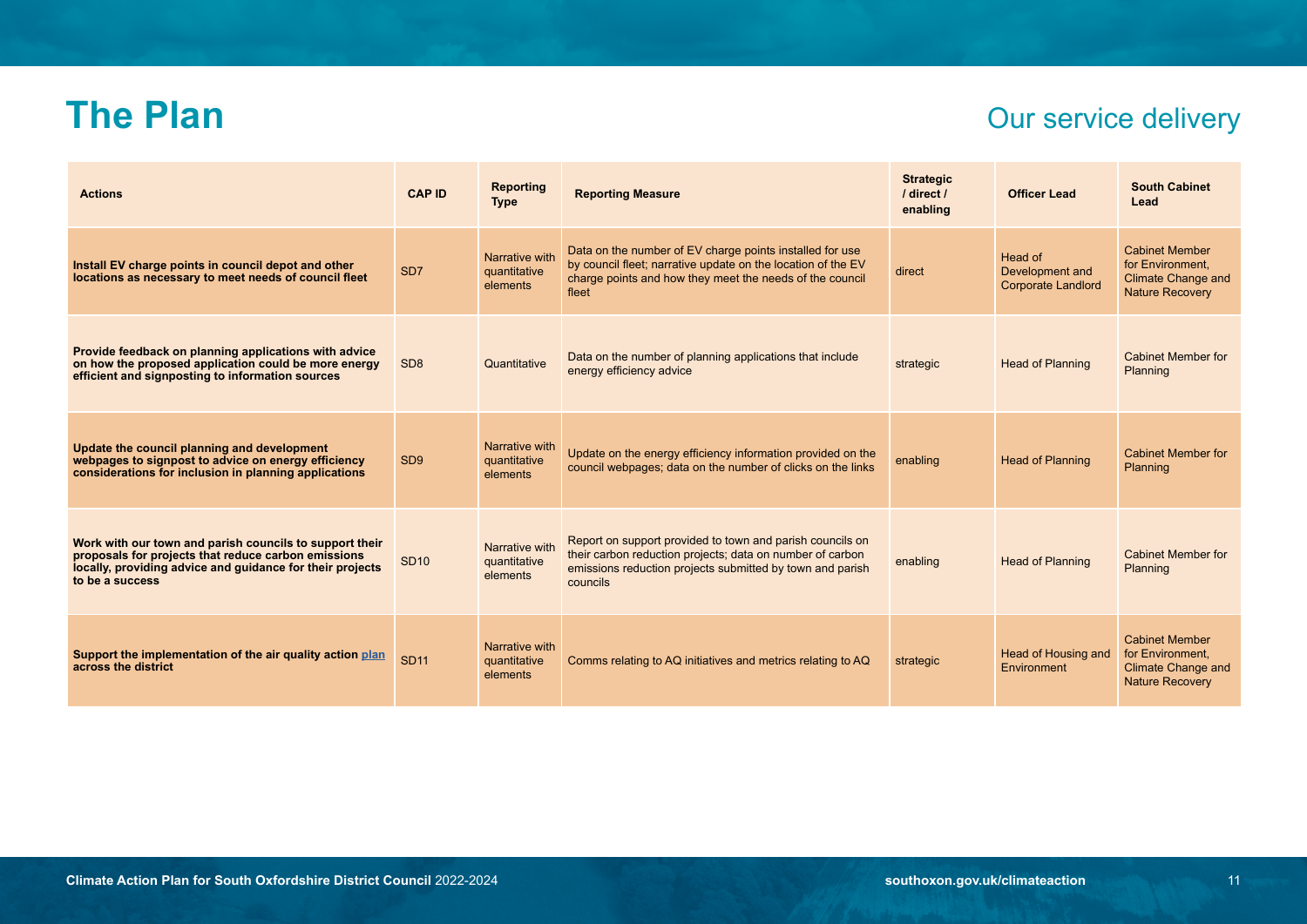# **The Plan** Our service delivery

| <b>Actions</b>                                                                                                                                                                                 | <b>CAP ID</b>   | Reporting<br><b>Type</b>                   | <b>Reporting Measure</b>                                                                                                                                                                        | <b>Strategic</b><br>/ direct /<br>enabling | <b>Officer Lead</b>                                     | <b>South Cabinet</b><br>Lead                                                                     |
|------------------------------------------------------------------------------------------------------------------------------------------------------------------------------------------------|-----------------|--------------------------------------------|-------------------------------------------------------------------------------------------------------------------------------------------------------------------------------------------------|--------------------------------------------|---------------------------------------------------------|--------------------------------------------------------------------------------------------------|
| Install EV charge points in council depot and other<br>locations as necessary to meet needs of council fleet                                                                                   | SD <sub>7</sub> | Narrative with<br>quantitative<br>elements | Data on the number of EV charge points installed for use<br>by council fleet; narrative update on the location of the EV<br>charge points and how they meet the needs of the council<br>fleet   | direct                                     | Head of<br>Development and<br><b>Corporate Landlord</b> | <b>Cabinet Member</b><br>for Environment.<br><b>Climate Change and</b><br><b>Nature Recovery</b> |
| Provide feedback on planning applications with advice<br>on how the proposed application could be more energy<br>efficient and signposting to information sources                              | SD <sub>8</sub> | Quantitative                               | Data on the number of planning applications that include<br>energy efficiency advice                                                                                                            | strategic                                  | <b>Head of Planning</b>                                 | <b>Cabinet Member for</b><br>Planning                                                            |
| Update the council planning and development<br>webpages to signpost to advice on energy efficiency<br>considerations for inclusion in planning applications                                    | SD <sub>9</sub> | Narrative with<br>quantitative<br>elements | Update on the energy efficiency information provided on the<br>council webpages; data on the number of clicks on the links                                                                      | enabling                                   | <b>Head of Planning</b>                                 | <b>Cabinet Member for</b><br>Planning                                                            |
| Work with our town and parish councils to support their<br>proposals for projects that reduce carbon emissions<br>locally, providing advice and guidance for their projects<br>to be a success | <b>SD10</b>     | Narrative with<br>quantitative<br>elements | Report on support provided to town and parish councils on<br>their carbon reduction projects; data on number of carbon<br>emissions reduction projects submitted by town and parish<br>councils | enabling                                   | <b>Head of Planning</b>                                 | <b>Cabinet Member for</b><br>Planning                                                            |
| Support the implementation of the air quality action plan<br>across the district                                                                                                               | <b>SD11</b>     | Narrative with<br>quantitative<br>elements | Comms relating to AQ initiatives and metrics relating to AQ                                                                                                                                     | strategic                                  | Head of Housing and<br>Environment                      | <b>Cabinet Member</b><br>for Environment,<br><b>Climate Change and</b><br><b>Nature Recovery</b> |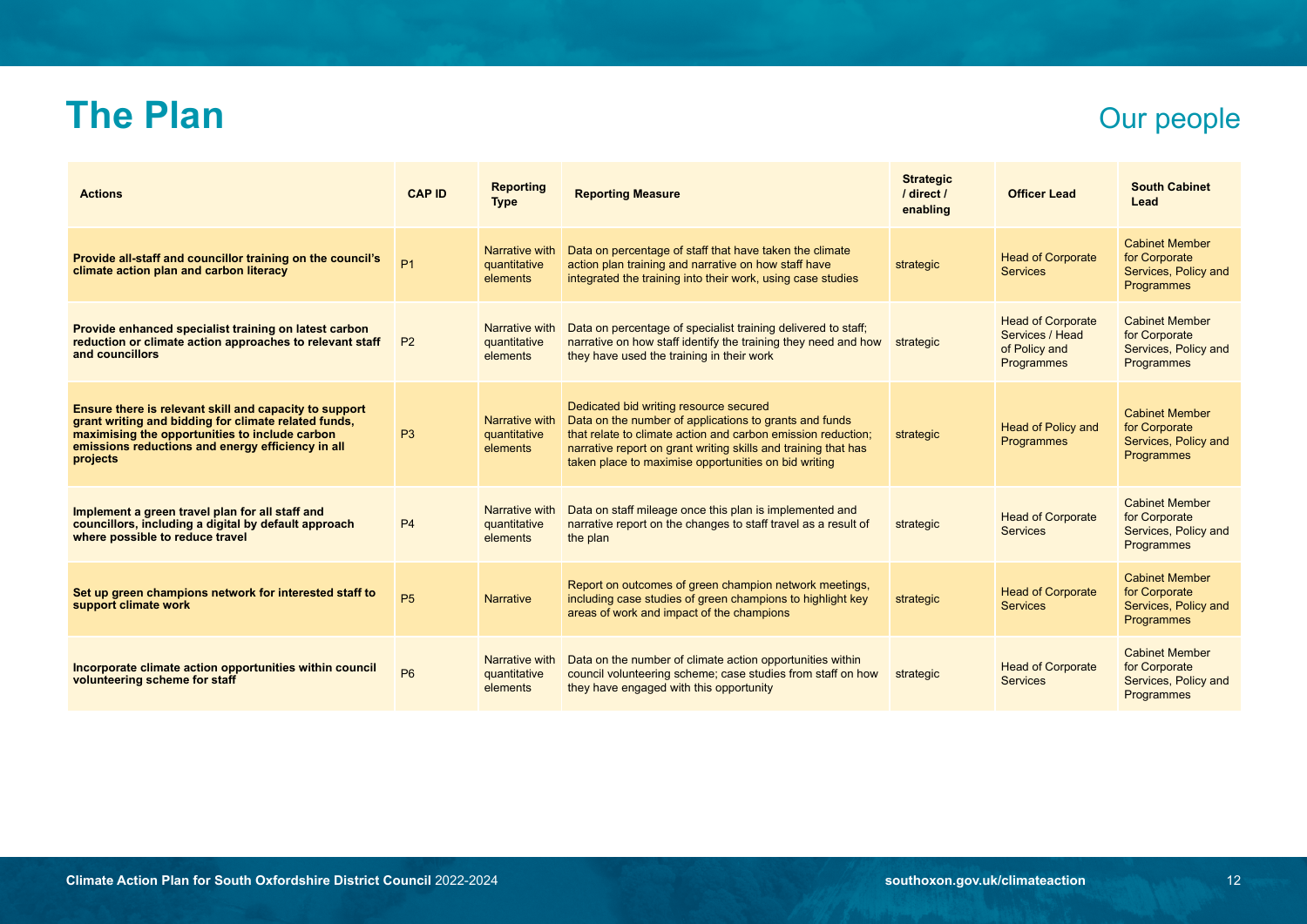### **The Plan** Our people

| <b>Actions</b>                                                                                                                                                                                                                    | <b>CAP ID</b>  | <b>Reporting</b><br><b>Type</b>            | <b>Reporting Measure</b>                                                                                                                                                                                                                                                                   | <b>Strategic</b><br>/ direct /<br>enabling | <b>Officer Lead</b>                                                               | <b>South Cabinet</b><br>Lead                                                        |
|-----------------------------------------------------------------------------------------------------------------------------------------------------------------------------------------------------------------------------------|----------------|--------------------------------------------|--------------------------------------------------------------------------------------------------------------------------------------------------------------------------------------------------------------------------------------------------------------------------------------------|--------------------------------------------|-----------------------------------------------------------------------------------|-------------------------------------------------------------------------------------|
| Provide all-staff and councillor training on the council's<br>climate action plan and carbon literacy                                                                                                                             | P <sub>1</sub> | Narrative with<br>quantitative<br>elements | Data on percentage of staff that have taken the climate<br>action plan training and narrative on how staff have<br>integrated the training into their work, using case studies                                                                                                             | strategic                                  | <b>Head of Corporate</b><br><b>Services</b>                                       | <b>Cabinet Member</b><br>for Corporate<br>Services, Policy and<br>Programmes        |
| Provide enhanced specialist training on latest carbon<br>reduction or climate action approaches to relevant staff<br>and councillors                                                                                              | <b>P2</b>      | Narrative with<br>quantitative<br>elements | Data on percentage of specialist training delivered to staff;<br>narrative on how staff identify the training they need and how<br>they have used the training in their work                                                                                                               | strategic                                  | <b>Head of Corporate</b><br>Services / Head<br>of Policy and<br><b>Programmes</b> | <b>Cabinet Member</b><br>for Corporate<br>Services, Policy and<br><b>Programmes</b> |
| Ensure there is relevant skill and capacity to support<br>grant writing and bidding for climate related funds,<br>maximising the opportunities to include carbon<br>emissions reductions and energy efficiency in all<br>projects | P3             | Narrative with<br>quantitative<br>elements | Dedicated bid writing resource secured<br>Data on the number of applications to grants and funds<br>that relate to climate action and carbon emission reduction:<br>narrative report on grant writing skills and training that has<br>taken place to maximise opportunities on bid writing | strategic                                  | <b>Head of Policy and</b><br><b>Programmes</b>                                    | <b>Cabinet Member</b><br>for Corporate<br>Services, Policy and<br>Programmes        |
| Implement a green travel plan for all staff and<br>councillors, including a digital by default approach<br>where possible to reduce travel                                                                                        | P <sub>4</sub> | Narrative with<br>quantitative<br>elements | Data on staff mileage once this plan is implemented and<br>narrative report on the changes to staff travel as a result of<br>the plan                                                                                                                                                      | strategic                                  | <b>Head of Corporate</b><br><b>Services</b>                                       | <b>Cabinet Member</b><br>for Corporate<br>Services, Policy and<br>Programmes        |
| Set up green champions network for interested staff to<br>support climate work                                                                                                                                                    | <b>P5</b>      | <b>Narrative</b>                           | Report on outcomes of green champion network meetings,<br>including case studies of green champions to highlight key<br>areas of work and impact of the champions                                                                                                                          | strategic                                  | <b>Head of Corporate</b><br><b>Services</b>                                       | <b>Cabinet Member</b><br>for Corporate<br>Services, Policy and<br>Programmes        |
| Incorporate climate action opportunities within council<br>volunteering scheme for staff                                                                                                                                          | P <sub>6</sub> | Narrative with<br>quantitative<br>elements | Data on the number of climate action opportunities within<br>council volunteering scheme; case studies from staff on how<br>they have engaged with this opportunity                                                                                                                        | strategic                                  | <b>Head of Corporate</b><br><b>Services</b>                                       | <b>Cabinet Member</b><br>for Corporate<br>Services, Policy and<br>Programmes        |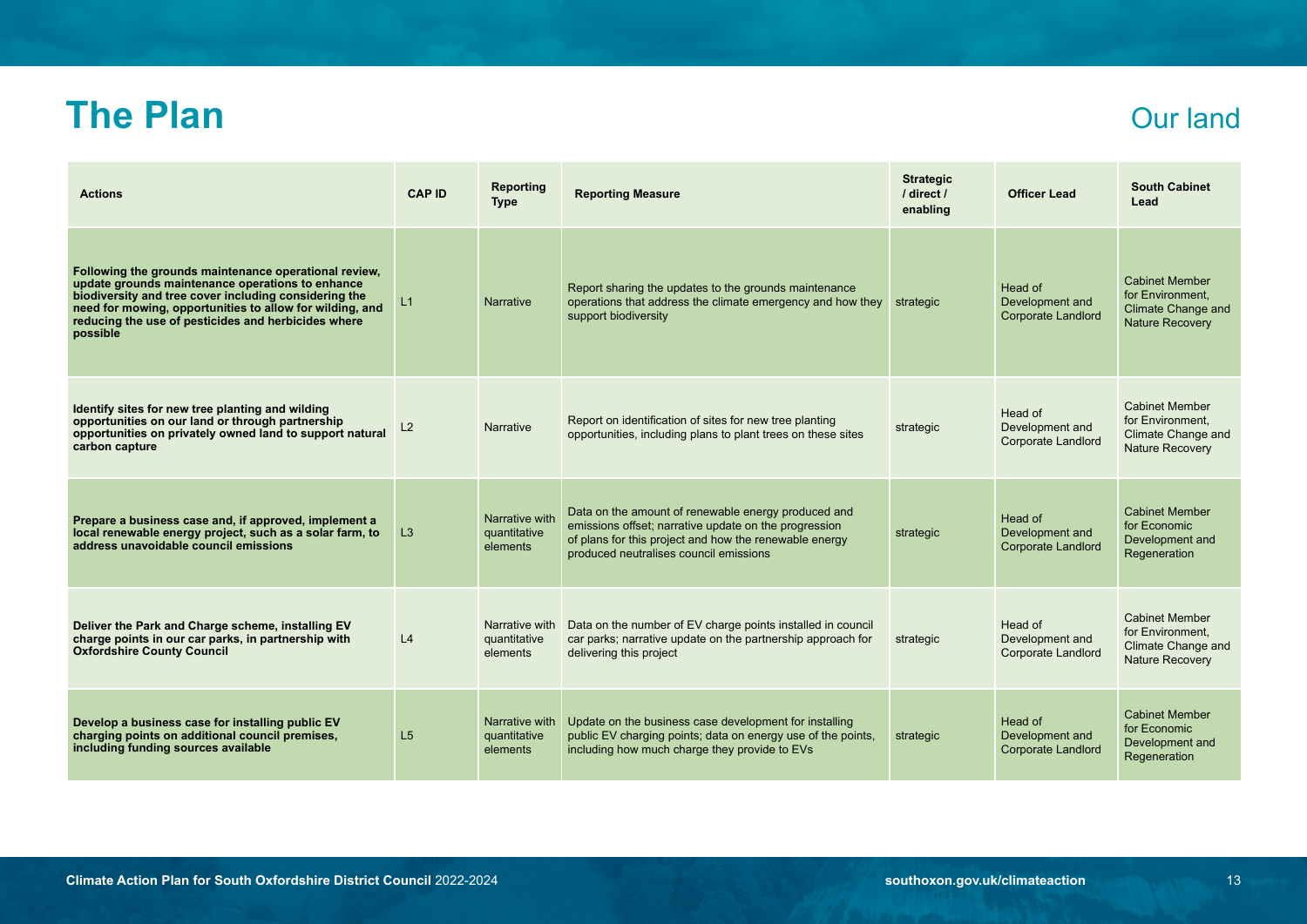### **The Plan** Our land

| <b>Actions</b>                                                                                                                                                                                                                                                                                    | <b>CAP ID</b>  | <b>Reporting</b><br><b>Type</b>            | <b>Reporting Measure</b>                                                                                                                                                                                         | <b>Strategic</b><br>/ direct /<br>enabling | <b>Officer Lead</b>                                     | <b>South Cabinet</b><br>Lead                                                              |
|---------------------------------------------------------------------------------------------------------------------------------------------------------------------------------------------------------------------------------------------------------------------------------------------------|----------------|--------------------------------------------|------------------------------------------------------------------------------------------------------------------------------------------------------------------------------------------------------------------|--------------------------------------------|---------------------------------------------------------|-------------------------------------------------------------------------------------------|
| Following the grounds maintenance operational review,<br>update grounds maintenance operations to enhance<br>biodiversity and tree cover including considering the<br>need for mowing, opportunities to allow for wilding, and<br>reducing the use of pesticides and herbicides where<br>possible | L1             | <b>Narrative</b>                           | Report sharing the updates to the grounds maintenance<br>operations that address the climate emergency and how they<br>support biodiversity                                                                      | strategic                                  | Head of<br>Development and<br><b>Corporate Landlord</b> | <b>Cabinet Member</b><br>for Environment.<br>Climate Change and<br><b>Nature Recovery</b> |
| Identify sites for new tree planting and wilding<br>opportunities on our land or through partnership<br>opportunities on privately owned land to support natural<br>carbon capture                                                                                                                | L2             | <b>Narrative</b>                           | Report on identification of sites for new tree planting<br>opportunities, including plans to plant trees on these sites                                                                                          | strategic                                  | Head of<br>Development and<br><b>Corporate Landlord</b> | <b>Cabinet Member</b><br>for Environment.<br>Climate Change and<br>Nature Recovery        |
| Prepare a business case and, if approved, implement a<br>local renewable energy project, such as a solar farm, to<br>address unavoidable council emissions                                                                                                                                        | L3             | Narrative with<br>quantitative<br>elements | Data on the amount of renewable energy produced and<br>emissions offset; narrative update on the progression<br>of plans for this project and how the renewable energy<br>produced neutralises council emissions | strategic                                  | Head of<br>Development and<br><b>Corporate Landlord</b> | <b>Cabinet Member</b><br>for Economic<br>Development and<br>Regeneration                  |
| Deliver the Park and Charge scheme, installing EV<br>charge points in our car parks, in partnership with<br><b>Oxfordshire County Council</b>                                                                                                                                                     | L <sub>4</sub> | Narrative with<br>quantitative<br>elements | Data on the number of EV charge points installed in council<br>car parks; narrative update on the partnership approach for<br>delivering this project                                                            | strategic                                  | Head of<br>Development and<br><b>Corporate Landlord</b> | <b>Cabinet Member</b><br>for Environment.<br>Climate Change and<br><b>Nature Recovery</b> |
| Develop a business case for installing public EV<br>charging points on additional council premises,<br>including funding sources available                                                                                                                                                        | L <sub>5</sub> | Narrative with<br>quantitative<br>elements | Update on the business case development for installing<br>public EV charging points; data on energy use of the points,<br>including how much charge they provide to EVs                                          | strategic                                  | Head of<br>Development and<br><b>Corporate Landlord</b> | <b>Cabinet Member</b><br>for Economic<br>Development and<br>Regeneration                  |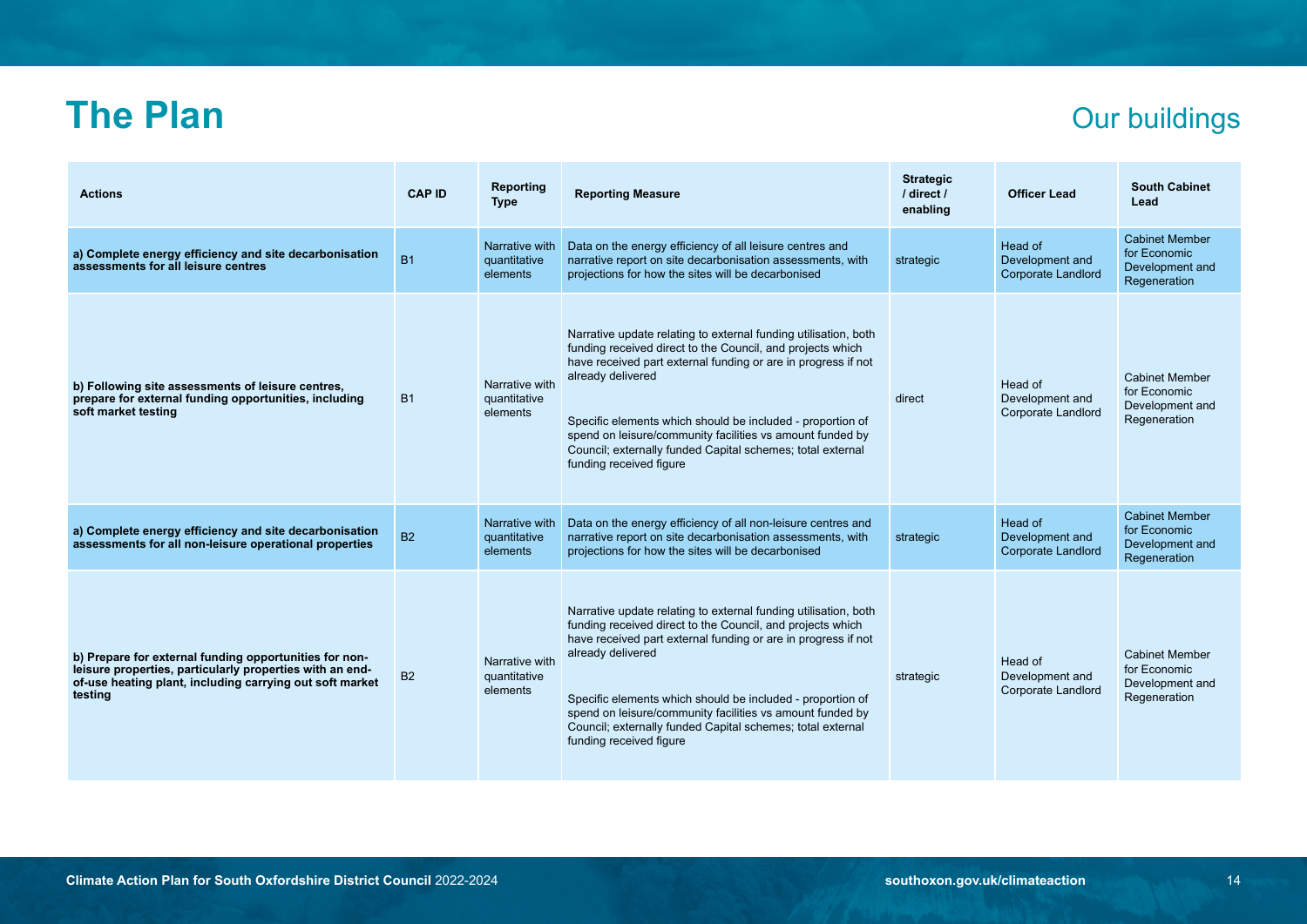### **The Plan** Our buildings

| <b>Actions</b>                                                                                                                                                                            | <b>CAP ID</b> | Reporting<br><b>Type</b>                   | <b>Reporting Measure</b>                                                                                                                                                                                                                                                                                                                                                                                                                | <b>Strategic</b><br>/ direct /<br>enabling | <b>Officer Lead</b>                                     | <b>South Cabinet</b><br>Lead                                             |
|-------------------------------------------------------------------------------------------------------------------------------------------------------------------------------------------|---------------|--------------------------------------------|-----------------------------------------------------------------------------------------------------------------------------------------------------------------------------------------------------------------------------------------------------------------------------------------------------------------------------------------------------------------------------------------------------------------------------------------|--------------------------------------------|---------------------------------------------------------|--------------------------------------------------------------------------|
| a) Complete energy efficiency and site decarbonisation<br>assessments for all leisure centres                                                                                             | <b>B1</b>     | Narrative with<br>quantitative<br>elements | Data on the energy efficiency of all leisure centres and<br>narrative report on site decarbonisation assessments, with<br>projections for how the sites will be decarbonised                                                                                                                                                                                                                                                            | strategic                                  | Head of<br>Development and<br>Corporate Landlord        | <b>Cabinet Member</b><br>for Economic<br>Development and<br>Regeneration |
| b) Following site assessments of leisure centres,<br>prepare for external funding opportunities, including<br>soft market testing                                                         | <b>B1</b>     | Narrative with<br>quantitative<br>elements | Narrative update relating to external funding utilisation, both<br>funding received direct to the Council, and projects which<br>have received part external funding or are in progress if not<br>already delivered<br>Specific elements which should be included - proportion of<br>spend on leisure/community facilities vs amount funded by<br>Council; externally funded Capital schemes; total external<br>funding received figure | direct                                     | Head of<br>Development and<br>Corporate Landlord        | <b>Cabinet Member</b><br>for Economic<br>Development and<br>Regeneration |
| a) Complete energy efficiency and site decarbonisation<br>assessments for all non-leisure operational properties                                                                          | <b>B2</b>     | Narrative with<br>quantitative<br>elements | Data on the energy efficiency of all non-leisure centres and<br>narrative report on site decarbonisation assessments, with<br>projections for how the sites will be decarbonised                                                                                                                                                                                                                                                        | strategic                                  | Head of<br>Development and<br><b>Corporate Landlord</b> | <b>Cabinet Member</b><br>for Economic<br>Development and<br>Regeneration |
| b) Prepare for external funding opportunities for non-<br>leisure properties, particularly properties with an end-<br>of-use heating plant, including carrying out soft market<br>testing | <b>B2</b>     | Narrative with<br>quantitative<br>elements | Narrative update relating to external funding utilisation, both<br>funding received direct to the Council, and projects which<br>have received part external funding or are in progress if not<br>already delivered<br>Specific elements which should be included - proportion of<br>spend on leisure/community facilities vs amount funded by<br>Council; externally funded Capital schemes; total external<br>funding received figure | strategic                                  | Head of<br>Development and<br>Corporate Landlord        | <b>Cabinet Member</b><br>for Economic<br>Development and<br>Regeneration |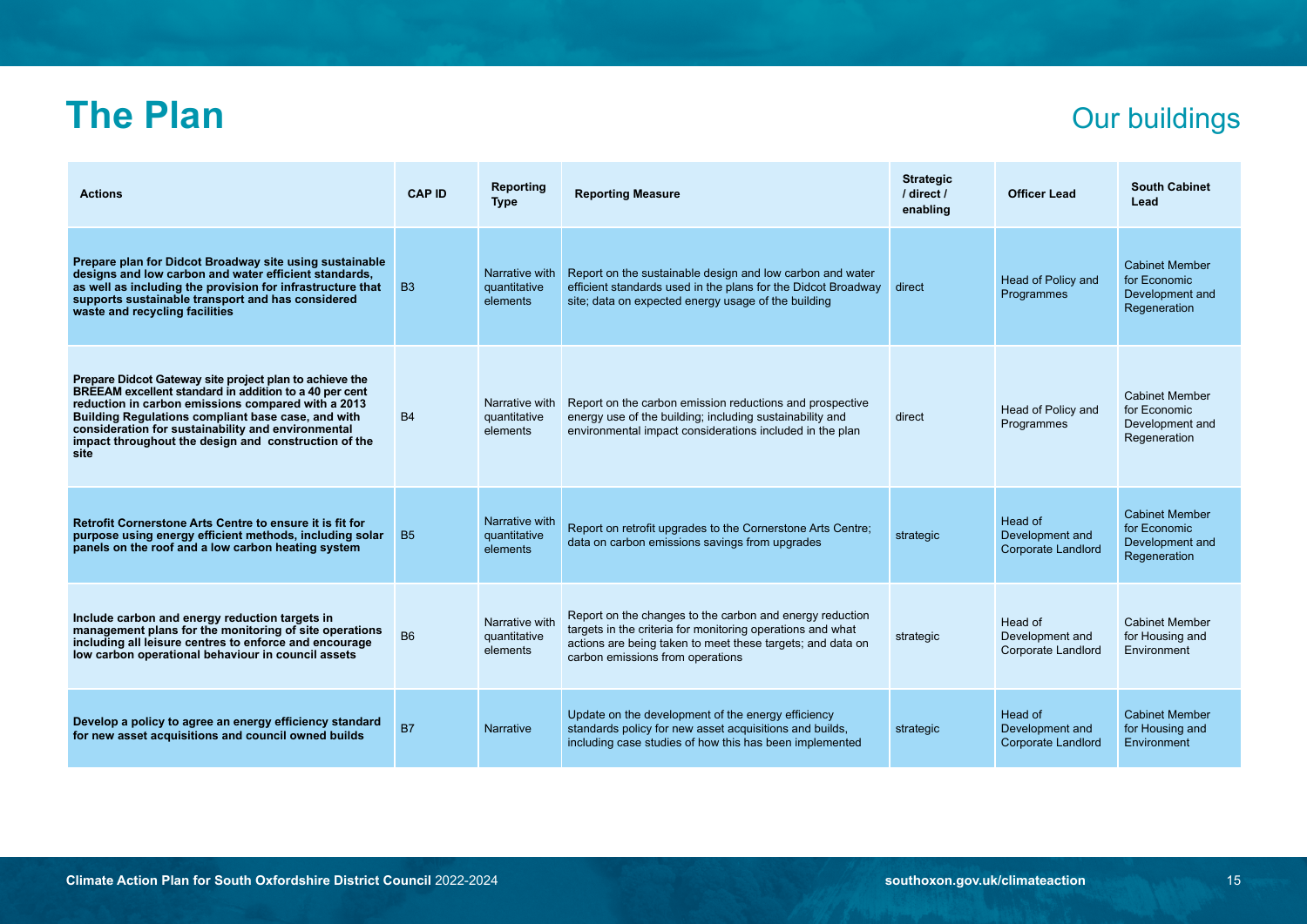# **The Plan** Our buildings

| <b>Actions</b>                                                                                                                                                                                                                                                                                                                                      | <b>CAP ID</b> | Reporting<br><b>Type</b>                   | <b>Reporting Measure</b>                                                                                                                                                                                                 | <b>Strategic</b><br>/ direct /<br>enabling | <b>Officer Lead</b>                                     | <b>South Cabinet</b><br>Lead                                             |
|-----------------------------------------------------------------------------------------------------------------------------------------------------------------------------------------------------------------------------------------------------------------------------------------------------------------------------------------------------|---------------|--------------------------------------------|--------------------------------------------------------------------------------------------------------------------------------------------------------------------------------------------------------------------------|--------------------------------------------|---------------------------------------------------------|--------------------------------------------------------------------------|
| Prepare plan for Didcot Broadway site using sustainable<br>designs and low carbon and water efficient standards,<br>as well as including the provision for infrastructure that<br>supports sustainable transport and has considered<br>waste and recycling facilities                                                                               | <b>B3</b>     | Narrative with<br>quantitative<br>elements | Report on the sustainable design and low carbon and water<br>efficient standards used in the plans for the Didcot Broadway<br>site; data on expected energy usage of the building                                        | direct                                     | Head of Policy and<br>Programmes                        | <b>Cabinet Member</b><br>for Economic<br>Development and<br>Regeneration |
| Prepare Didcot Gateway site project plan to achieve the<br>BREEAM excellent standard in addition to a 40 per cent<br>reduction in carbon emissions compared with a 2013<br>Building Regulations compliant base case, and with<br>consideration for sustainability and environmental<br>impact throughout the design and construction of the<br>site | <b>B4</b>     | Narrative with<br>quantitative<br>elements | Report on the carbon emission reductions and prospective<br>energy use of the building; including sustainability and<br>environmental impact considerations included in the plan                                         | direct                                     | Head of Policy and<br>Programmes                        | <b>Cabinet Member</b><br>for Economic<br>Development and<br>Regeneration |
| Retrofit Cornerstone Arts Centre to ensure it is fit for<br>purpose using energy efficient methods, including solar<br>panels on the roof and a low carbon heating system                                                                                                                                                                           | <b>B5</b>     | Narrative with<br>quantitative<br>elements | Report on retrofit upgrades to the Cornerstone Arts Centre;<br>data on carbon emissions savings from upgrades                                                                                                            | strategic                                  | Head of<br>Development and<br><b>Corporate Landlord</b> | <b>Cabinet Member</b><br>for Economic<br>Development and<br>Regeneration |
| Include carbon and energy reduction targets in<br>management plans for the monitoring of site operations<br>including all leisure centres to enforce and encourage<br>low carbon operational behaviour in council assets                                                                                                                            | <b>B6</b>     | Narrative with<br>quantitative<br>elements | Report on the changes to the carbon and energy reduction<br>targets in the criteria for monitoring operations and what<br>actions are being taken to meet these targets; and data on<br>carbon emissions from operations | strategic                                  | Head of<br>Development and<br>Corporate Landlord        | <b>Cabinet Member</b><br>for Housing and<br>Environment                  |
| Develop a policy to agree an energy efficiency standard<br>for new asset acquisitions and council owned builds                                                                                                                                                                                                                                      | <b>B7</b>     | <b>Narrative</b>                           | Update on the development of the energy efficiency<br>standards policy for new asset acquisitions and builds,<br>including case studies of how this has been implemented                                                 | strategic                                  | Head of<br>Development and<br><b>Corporate Landlord</b> | <b>Cabinet Member</b><br>for Housing and<br>Environment                  |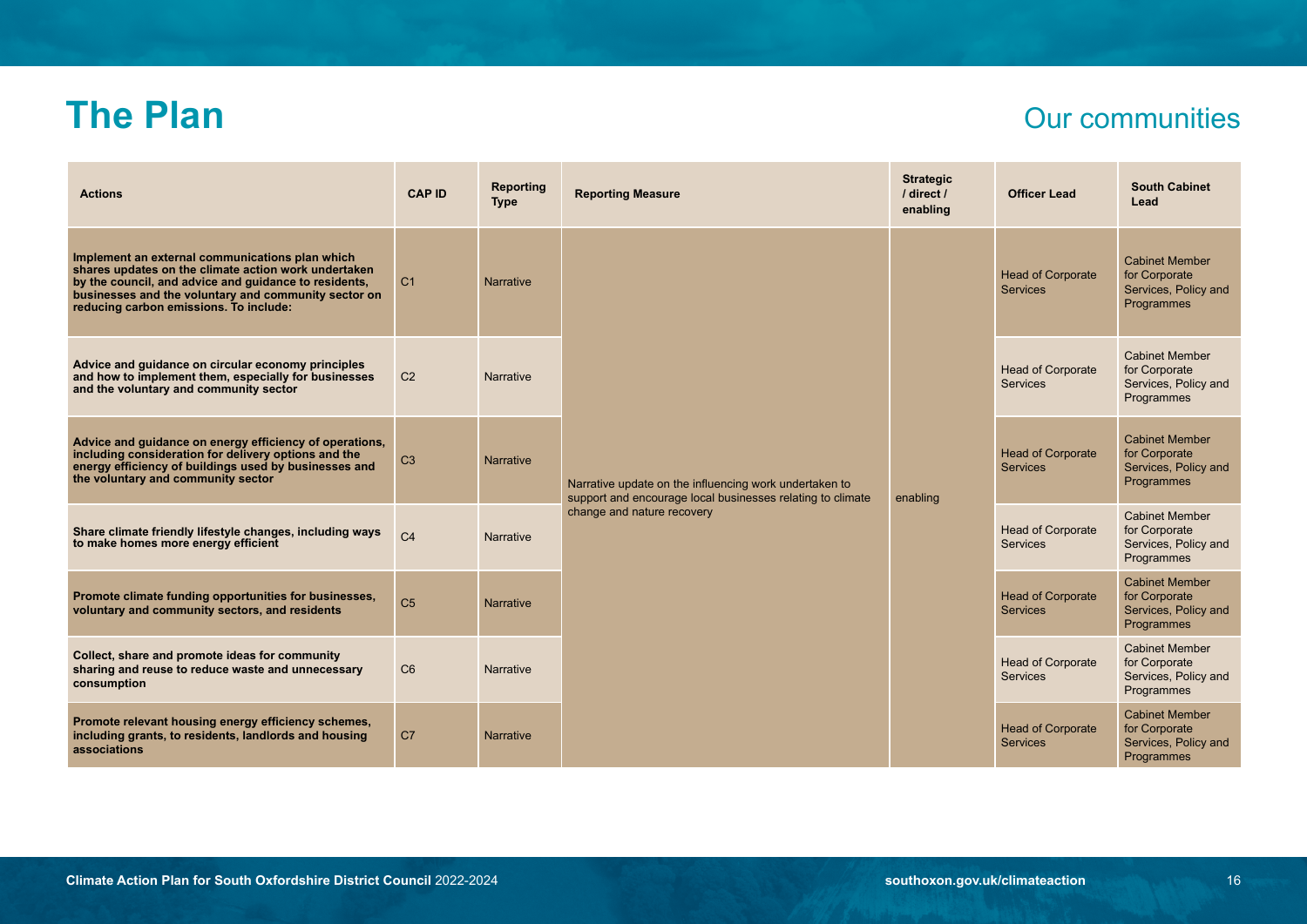### **The Plan** Our communities

| <b>Actions</b>                                                                                                                                                                                                                                                     | <b>CAP ID</b>  | Reporting<br><b>Type</b> | <b>Reporting Measure</b>                                                                                                                           | <b>Strategic</b><br>/ direct /<br>enabling | <b>Officer Lead</b>                         | <b>South Cabinet</b><br>Lead                                                 |
|--------------------------------------------------------------------------------------------------------------------------------------------------------------------------------------------------------------------------------------------------------------------|----------------|--------------------------|----------------------------------------------------------------------------------------------------------------------------------------------------|--------------------------------------------|---------------------------------------------|------------------------------------------------------------------------------|
| Implement an external communications plan which<br>shares updates on the climate action work undertaken<br>by the council, and advice and quidance to residents,<br>businesses and the voluntary and community sector on<br>reducing carbon emissions. To include: | C <sub>1</sub> | <b>Narrative</b>         | Narrative update on the influencing work undertaken to<br>support and encourage local businesses relating to climate<br>change and nature recovery | enabling                                   | <b>Head of Corporate</b><br><b>Services</b> | <b>Cabinet Member</b><br>for Corporate<br>Services, Policy and<br>Programmes |
| Advice and guidance on circular economy principles<br>and how to implement them, especially for businesses<br>and the voluntary and community sector                                                                                                               | C <sub>2</sub> | <b>Narrative</b>         |                                                                                                                                                    |                                            | <b>Head of Corporate</b><br><b>Services</b> | <b>Cabinet Member</b><br>for Corporate<br>Services, Policy and<br>Programmes |
| Advice and guidance on energy efficiency of operations,<br>including consideration for delivery options and the<br>energy efficiency of buildings used by businesses and<br>the voluntary and community sector                                                     | C <sub>3</sub> | <b>Narrative</b>         |                                                                                                                                                    |                                            | <b>Head of Corporate</b><br><b>Services</b> | <b>Cabinet Member</b><br>for Corporate<br>Services, Policy and<br>Programmes |
| Share climate friendly lifestyle changes, including ways<br>to make homes more energy efficient                                                                                                                                                                    | C <sub>4</sub> | <b>Narrative</b>         |                                                                                                                                                    |                                            | <b>Head of Corporate</b><br><b>Services</b> | <b>Cabinet Member</b><br>for Corporate<br>Services, Policy and<br>Programmes |
| Promote climate funding opportunities for businesses,<br>voluntary and community sectors, and residents                                                                                                                                                            | C <sub>5</sub> | <b>Narrative</b>         |                                                                                                                                                    |                                            | <b>Head of Corporate</b><br><b>Services</b> | <b>Cabinet Member</b><br>for Corporate<br>Services, Policy and<br>Programmes |
| Collect, share and promote ideas for community<br>sharing and reuse to reduce waste and unnecessary<br>consumption                                                                                                                                                 | C6             | <b>Narrative</b>         |                                                                                                                                                    |                                            | <b>Head of Corporate</b><br><b>Services</b> | <b>Cabinet Member</b><br>for Corporate<br>Services, Policy and<br>Programmes |
| Promote relevant housing energy efficiency schemes,<br>including grants, to residents, landlords and housing<br>associations                                                                                                                                       | C <sub>7</sub> | <b>Narrative</b>         |                                                                                                                                                    |                                            | <b>Head of Corporate</b><br><b>Services</b> | <b>Cabinet Member</b><br>for Corporate<br>Services, Policy and<br>Programmes |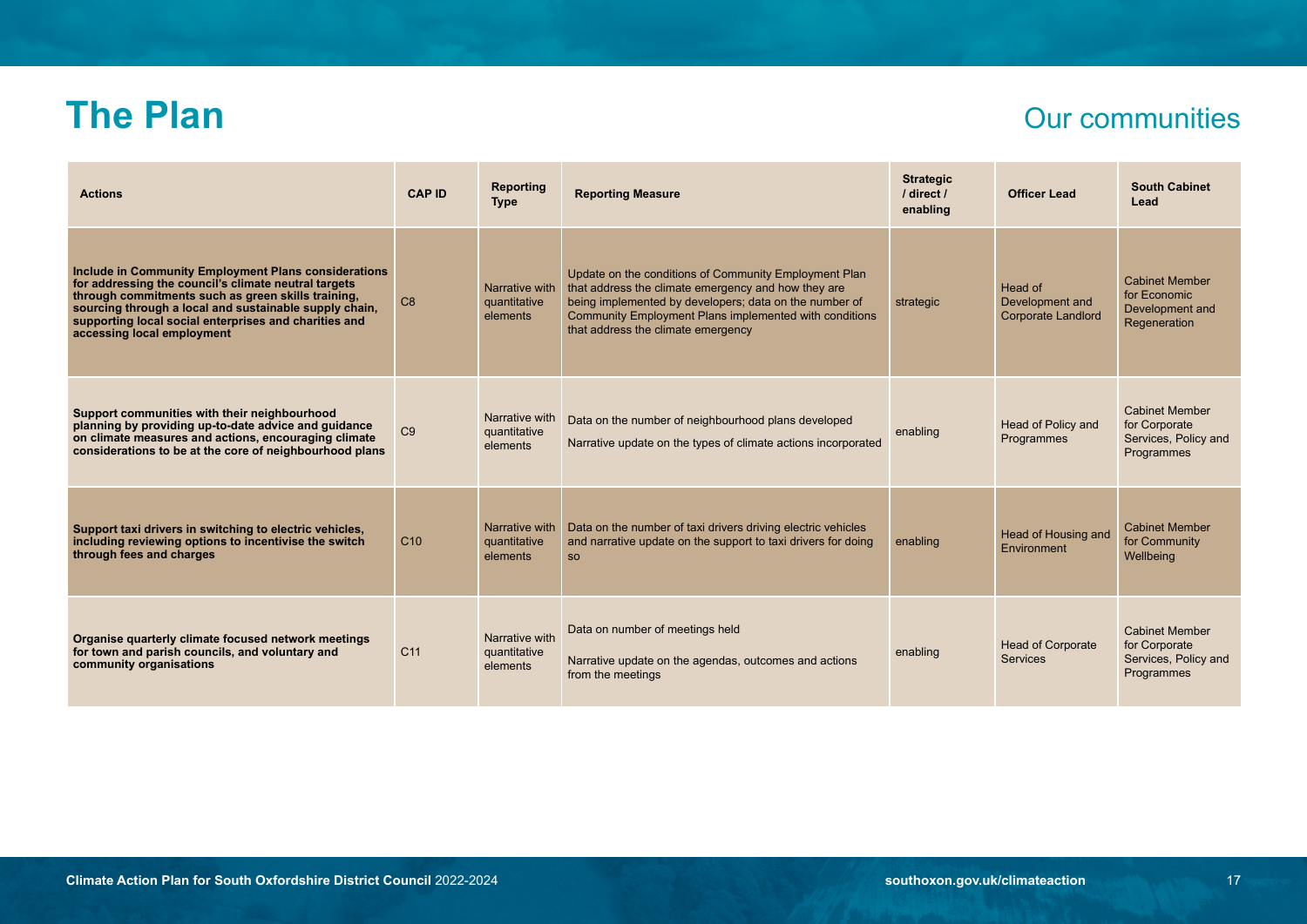### **The Plan** Our communities

| <b>Actions</b>                                                                                                                                                                                                                                                                                                      | <b>CAP ID</b>   | Reporting<br><b>Type</b>                   | <b>Reporting Measure</b>                                                                                                                                                                                                                                               | <b>Strategic</b><br>/ direct /<br>enabling | <b>Officer Lead</b>                                     | <b>South Cabinet</b><br>Lead                                                 |
|---------------------------------------------------------------------------------------------------------------------------------------------------------------------------------------------------------------------------------------------------------------------------------------------------------------------|-----------------|--------------------------------------------|------------------------------------------------------------------------------------------------------------------------------------------------------------------------------------------------------------------------------------------------------------------------|--------------------------------------------|---------------------------------------------------------|------------------------------------------------------------------------------|
| Include in Community Employment Plans considerations<br>for addressing the council's climate neutral targets<br>through commitments such as green skills training,<br>sourcing through a local and sustainable supply chain.<br>supporting local social enterprises and charities and<br>accessing local employment | C <sub>8</sub>  | Narrative with<br>quantitative<br>elements | Update on the conditions of Community Employment Plan<br>that address the climate emergency and how they are<br>being implemented by developers; data on the number of<br>Community Employment Plans implemented with conditions<br>that address the climate emergency | strategic                                  | Head of<br>Development and<br><b>Corporate Landlord</b> | <b>Cabinet Member</b><br>for Economic<br>Development and<br>Regeneration     |
| Support communities with their neighbourhood<br>planning by providing up-to-date advice and guidance<br>on climate measures and actions, encouraging climate<br>considerations to be at the core of neighbourhood plans                                                                                             | C9              | Narrative with<br>quantitative<br>elements | Data on the number of neighbourhood plans developed<br>Narrative update on the types of climate actions incorporated                                                                                                                                                   | enabling                                   | <b>Head of Policy and</b><br>Programmes                 | <b>Cabinet Member</b><br>for Corporate<br>Services, Policy and<br>Programmes |
| Support taxi drivers in switching to electric vehicles,<br>including reviewing options to incentivise the switch<br>through fees and charges                                                                                                                                                                        | C10             | Narrative with<br>quantitative<br>elements | Data on the number of taxi drivers driving electric vehicles<br>and narrative update on the support to taxi drivers for doing<br><b>SO</b>                                                                                                                             | enabling                                   | Head of Housing and<br>Environment                      | <b>Cabinet Member</b><br>for Community<br>Wellbeing                          |
| Organise quarterly climate focused network meetings<br>for town and parish councils, and voluntary and<br>community organisations                                                                                                                                                                                   | C <sub>11</sub> | Narrative with<br>quantitative<br>elements | Data on number of meetings held<br>Narrative update on the agendas, outcomes and actions<br>from the meetings                                                                                                                                                          | enabling                                   | <b>Head of Corporate</b><br><b>Services</b>             | <b>Cabinet Member</b><br>for Corporate<br>Services, Policy and<br>Programmes |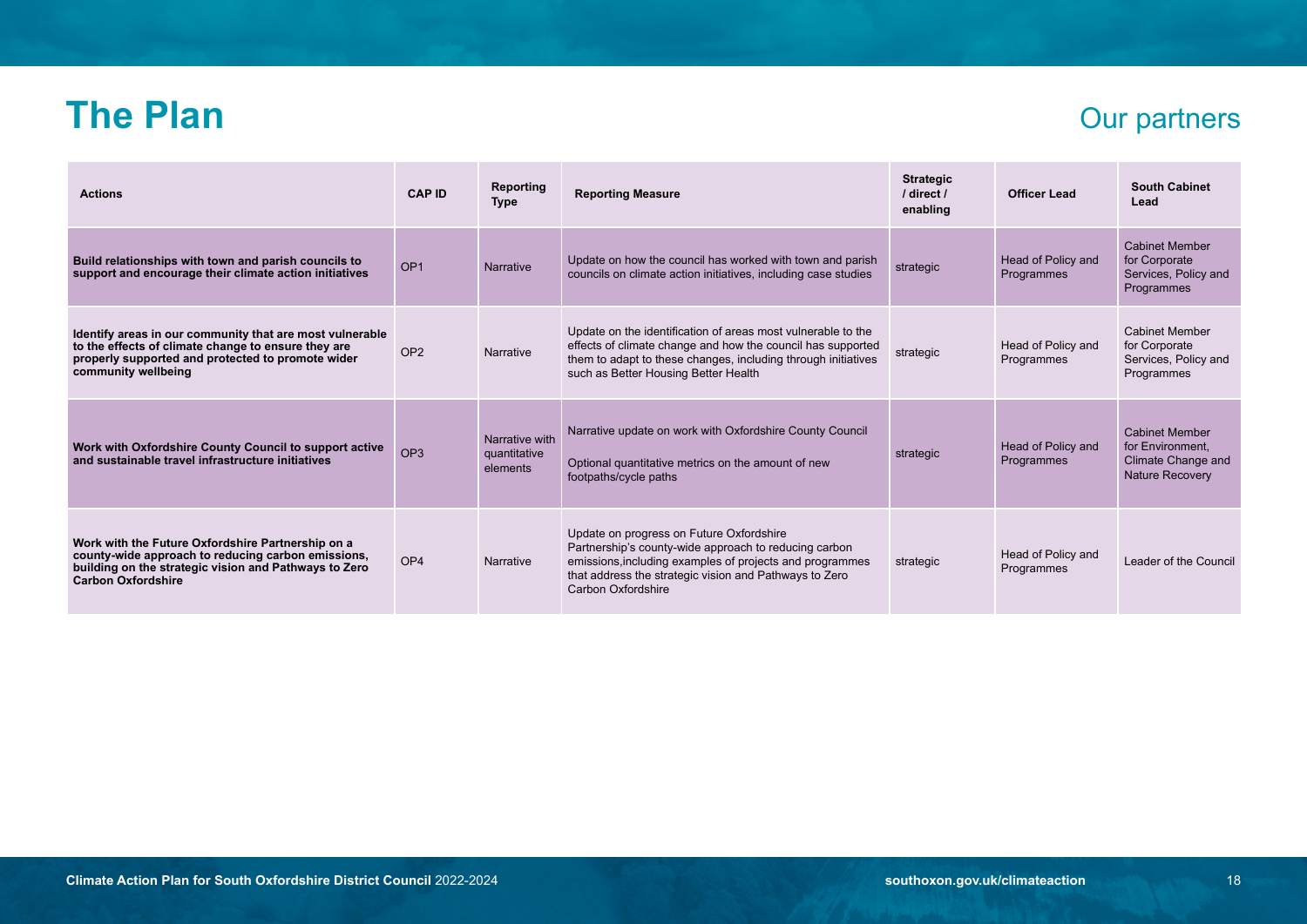### **The Plan** Our partners

| <b>Actions</b>                                                                                                                                                                                | <b>CAP ID</b>   | Reporting<br><b>Type</b>                   | <b>Reporting Measure</b>                                                                                                                                                                                                                      | <b>Strategic</b><br>/ direct /<br>enabling | Officer Lead                     | <b>South Cabinet</b><br>Lead                                                              |
|-----------------------------------------------------------------------------------------------------------------------------------------------------------------------------------------------|-----------------|--------------------------------------------|-----------------------------------------------------------------------------------------------------------------------------------------------------------------------------------------------------------------------------------------------|--------------------------------------------|----------------------------------|-------------------------------------------------------------------------------------------|
| Build relationships with town and parish councils to<br>support and encourage their climate action initiatives                                                                                | OP <sub>1</sub> | Narrative                                  | Update on how the council has worked with town and parish<br>councils on climate action initiatives, including case studies                                                                                                                   | strategic                                  | Head of Policy and<br>Programmes | <b>Cabinet Member</b><br>for Corporate<br>Services, Policy and<br>Programmes              |
| Identify areas in our community that are most vulnerable<br>to the effects of climate change to ensure they are<br>properly supported and protected to promote wider<br>community wellbeing   | OP <sub>2</sub> | Narrative                                  | Update on the identification of areas most vulnerable to the<br>effects of climate change and how the council has supported<br>them to adapt to these changes, including through initiatives<br>such as Better Housing Better Health          | strategic                                  | Head of Policy and<br>Programmes | <b>Cabinet Member</b><br>for Corporate<br>Services, Policy and<br>Programmes              |
| Work with Oxfordshire County Council to support active<br>and sustainable travel infrastructure initiatives                                                                                   | OP <sub>3</sub> | Narrative with<br>quantitative<br>elements | Narrative update on work with Oxfordshire County Council<br>Optional quantitative metrics on the amount of new<br>footpaths/cycle paths                                                                                                       | strategic                                  | Head of Policy and<br>Programmes | <b>Cabinet Member</b><br>for Environment.<br>Climate Change and<br><b>Nature Recovery</b> |
| Work with the Future Oxfordshire Partnership on a<br>county-wide approach to reducing carbon emissions,<br>building on the strategic vision and Pathways to Zero<br><b>Carbon Oxfordshire</b> | OP <sub>4</sub> | Narrative                                  | Update on progress on Future Oxfordshire<br>Partnership's county-wide approach to reducing carbon<br>emissions, including examples of projects and programmes<br>that address the strategic vision and Pathways to Zero<br>Carbon Oxfordshire | strategic                                  | Head of Policy and<br>Programmes | Leader of the Council                                                                     |